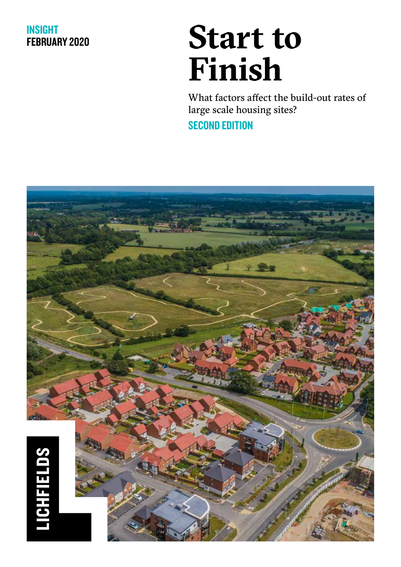#### INSIGHT FEBRUARY 2020

# **Start to Finish**

What factors affect the build-out rates of large scale housing sites? **SECOND EDITION** 

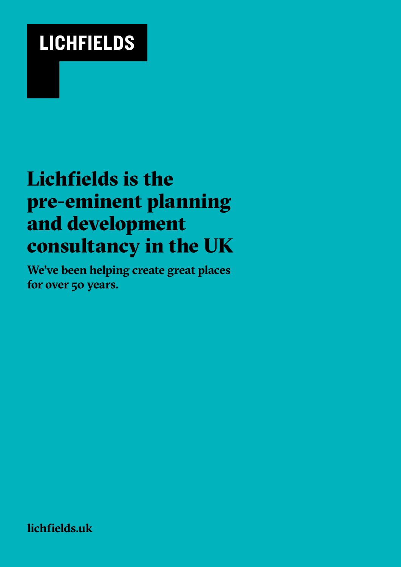# **LICHFIELDS**

## Lichfields is the pre-eminent planning and development consultancy in the UK

**We've been helping create great places for over 50 years.**

**lichfields.uk**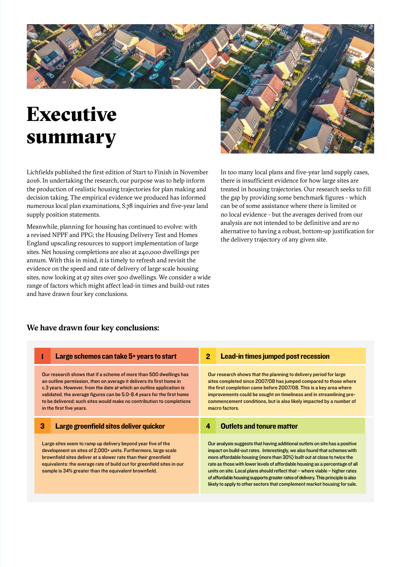# Executive summary

Lichfields published the first edition of Start to Finish in November 2016. In undertaking the research, our purpose was to help inform the production of realistic housing trajectories for plan making and decision taking. The empirical evidence we produced has informed numerous local plan examinations, S.78 inquiries and five-year land supply position statements.

Meanwhile, planning for housing has continued to evolve: with a revised NPPF and PPG; the Housing Delivery Test and Homes England upscaling resources to support implementation of large sites. Net housing completions are also at 240,000 dwellings per annum. With this in mind, it is timely to refresh and revisit the evidence on the speed and rate of delivery of large scale housing sites, now looking at 97 sites over 500 dwellings. We consider a wide range of factors which might affect lead-in times and build-out rates and have drawn four key conclusions.



In too many local plans and five-year land supply cases, there is insufficient evidence for how large sites are treated in housing trajectories. Our research seeks to fill the gap by providing some benchmark figures - which can be of some assistance where there is limited or no local evidence - but the averages derived from our analysis are not intended to be definitive and are no alternative to having a robust, bottom-up justification for the delivery trajectory of any given site.

#### **We have drawn four key conclusions:**

|   | Large schemes can take 5+ years to start                                                                                                                                                                                                                                                                                                                                                          | $\mathbf{2}$ | Lead-in times jumped post recession                                                                                                                                                                                                                                                                                                                                         |
|---|---------------------------------------------------------------------------------------------------------------------------------------------------------------------------------------------------------------------------------------------------------------------------------------------------------------------------------------------------------------------------------------------------|--------------|-----------------------------------------------------------------------------------------------------------------------------------------------------------------------------------------------------------------------------------------------------------------------------------------------------------------------------------------------------------------------------|
|   | Our research shows that if a scheme of more than 500 dwellings has<br>an outline permission, then on average it delivers its first home in<br>c.3 years. However, from the date at which an outline application is<br>validated, the average figures can be 5.0-8.4 years for the first home<br>to be delivered; such sites would make no contribution to completions<br>in the first five years. |              | Our research shows that the planning to delivery period for large<br>sites completed since 2007/08 has jumped compared to those where<br>the first completion came before 2007/08. This is a key area where<br>improvements could be sought on timeliness and in streamlining pre-<br>commencement conditions, but is also likely impacted by a number of<br>macro factors. |
| 3 | Large greenfield sites deliver quicker                                                                                                                                                                                                                                                                                                                                                            | 4            | <b>Outlets and tenure matter</b>                                                                                                                                                                                                                                                                                                                                            |
|   |                                                                                                                                                                                                                                                                                                                                                                                                   |              |                                                                                                                                                                                                                                                                                                                                                                             |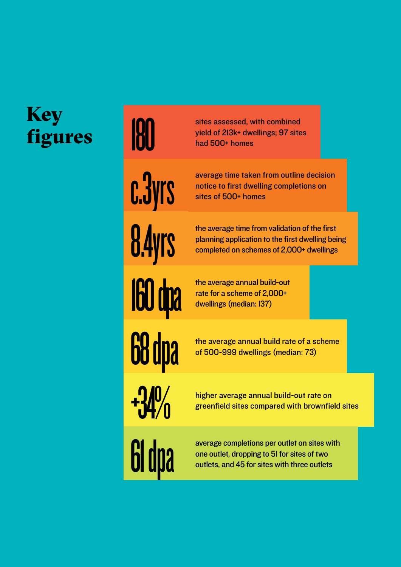# Key figures

# average time taken f<br> **OLUTS** are the first dwelling<br>
sites of 500+ homes **+34%** 61 dpa

sites assessed, with combined yield of 213k+ dwellings; 97 sites sites assessed, w<br>yield of 2l3k+ dww<br>had 500+ homes

> average time taken from outline decision notice to first dwelling completions on

the average time from validation of the first the average time from validation of the first<br>planning application to the first dwelling being<br>completed on schemes of 2,000+ dwellings

the average annual build-out rate for a scheme of 2,000+ the average annual buil<br>rate for a scheme of 2,0<br>dwellings (median: 137)

the average annual build rate of a scheme **CO** dipartie average annual build rate of a s<br>of 500-999 dwellings (median: 73)

> higher average annual build-out rate on greenfield sites compared with brownfield sites

average completions per outlet on sites with one outlet, dropping to 51 for sites of two outlets, and 45 for sites with three outlets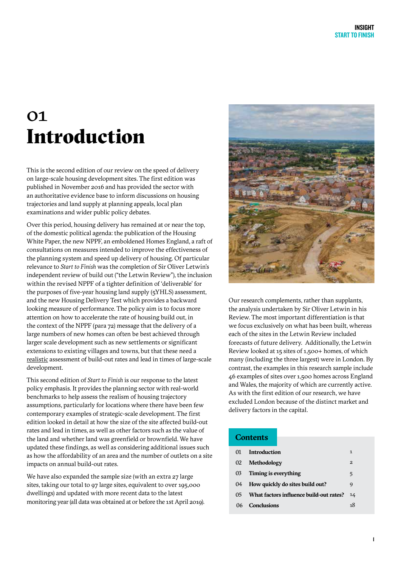### 01 Introduction

This is the second edition of our review on the speed of delivery on large-scale housing development sites. The first edition was published in November 2016 and has provided the sector with an authoritative evidence base to inform discussions on housing trajectories and land supply at planning appeals, local plan examinations and wider public policy debates.

Over this period, housing delivery has remained at or near the top, of the domestic political agenda: the publication of the Housing White Paper, the new NPPF, an emboldened Homes England, a raft of consultations on measures intended to improve the effectiveness of the planning system and speed up delivery of housing. Of particular relevance to *Start to Finish* was the completion of Sir Oliver Letwin's independent review of build out ("the Letwin Review"), the inclusion within the revised NPPF of a tighter definition of 'deliverable' for the purposes of five-year housing land supply (5YHLS) assessment, and the new Housing Delivery Test which provides a backward looking measure of performance. The policy aim is to focus more attention on how to accelerate the rate of housing build out, in the context of the NPPF (para 72) message that the delivery of a large numbers of new homes can often be best achieved through larger scale development such as new settlements or significant extensions to existing villages and towns, but that these need a realistic assessment of build-out rates and lead in times of large-scale development.

This second edition of *Start to Finish* is our response to the latest policy emphasis. It provides the planning sector with real-world benchmarks to help assess the realism of housing trajectory assumptions, particularly for locations where there have been few contemporary examples of strategic-scale development. The first edition looked in detail at how the size of the site affected build-out rates and lead in times, as well as other factors such as the value of the land and whether land was greenfield or brownfield. We have updated these findings, as well as considering additional issues such as how the affordability of an area and the number of outlets on a site impacts on annual build-out rates.

We have also expanded the sample size (with an extra 27 large sites, taking our total to 97 large sites, equivalent to over 195,000 dwellings) and updated with more recent data to the latest monitoring year (all data was obtained at or before the 1st April 2019).



Our research complements, rather than supplants, the analysis undertaken by Sir Oliver Letwin in his Review. The most important differentiation is that we focus exclusively on what has been built, whereas each of the sites in the Letwin Review included forecasts of future delivery. Additionally, the Letwin Review looked at 15 sites of 1,500+ homes, of which many (including the three largest) were in London. By contrast, the examples in this research sample include 46 examples of sites over 1,500 homes across England and Wales, the majority of which are currently active. As with the first edition of our research, we have excluded London because of the distinct market and delivery factors in the capital.

#### **Contents**

| 01 | <b>Introduction</b>                     | 1            |
|----|-----------------------------------------|--------------|
| 02 | Methodology                             | $\mathbf{2}$ |
| 03 | Timing is everything                    | 5            |
| 04 | How quickly do sites build out?         | 9            |
| 05 | What factors influence build-out rates? | 14           |
| በ6 | <b>Conclusions</b>                      | 18           |
|    |                                         |              |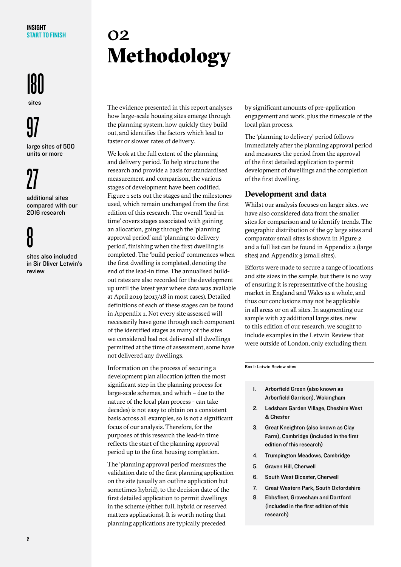#### INSIGHT START TO FINISH

# **180**

sites

# 97

large sites of 500 units or more

# 27

ň

additional sites compared with our 2016 research

sites also included in Sir Oliver Letwin's review

## 02 Methodology

The evidence presented in this report analyses how large-scale housing sites emerge through the planning system, how quickly they build out, and identifies the factors which lead to faster or slower rates of delivery.

We look at the full extent of the planning and delivery period. To help structure the research and provide a basis for standardised measurement and comparison, the various stages of development have been codified. Figure 1 sets out the stages and the milestones used, which remain unchanged from the first edition of this research. The overall 'lead-in time' covers stages associated with gaining an allocation, going through the 'planning approval period' and 'planning to delivery period', finishing when the first dwelling is completed. The 'build period' commences when the first dwelling is completed, denoting the end of the lead-in time. The annualised buildout rates are also recorded for the development up until the latest year where data was available at April 2019 (2017/18 in most cases). Detailed definitions of each of these stages can be found in Appendix 1. Not every site assessed will necessarily have gone through each component of the identified stages as many of the sites we considered had not delivered all dwellings permitted at the time of assessment, some have not delivered any dwellings.

Information on the process of securing a development plan allocation (often the most significant step in the planning process for large-scale schemes, and which – due to the nature of the local plan process - can take decades) is not easy to obtain on a consistent basis across all examples, so is not a significant focus of our analysis. Therefore, for the purposes of this research the lead-in time reflects the start of the planning approval period up to the first housing completion.

The 'planning approval period' measures the validation date of the first planning application on the site (usually an outline application but sometimes hybrid), to the decision date of the first detailed application to permit dwellings in the scheme (either full, hybrid or reserved matters applications). It is worth noting that planning applications are typically preceded

by significant amounts of pre-application engagement and work, plus the timescale of the local plan process.

The 'planning to delivery' period follows immediately after the planning approval period and measures the period from the approval of the first detailed application to permit development of dwellings and the completion of the first dwelling.

#### **Development and data**

Whilst our analysis focuses on larger sites, we have also considered data from the smaller sites for comparison and to identify trends. The geographic distribution of the 97 large sites and comparator small sites is shown in Figure 2 and a full list can be found in Appendix 2 (large sites) and Appendix 3 (small sites).

Efforts were made to secure a range of locations and site sizes in the sample, but there is no way of ensuring it is representative of the housing market in England and Wales as a whole, and thus our conclusions may not be applicable in all areas or on all sites. In augmenting our sample with 27 additional large sites, new to this edition of our research, we sought to include examples in the Letwin Review that were outside of London, only excluding them

Box 1: Letwin Review sites

- 1. Arborfield Green (also known as Arborfield Garrison), Wokingham
- 2. Ledsham Garden Village, Cheshire West & Chester
- 3. Great Kneighton (also known as Clay Farm), Cambridge (included in the first edition of this research)
- 4. Trumpington Meadows, Cambridge
- 5. Graven Hill, Cherwell
- 6. South West Bicester, Cherwell
- 7. Great Western Park, South Oxfordshire
- 8. Ebbsfleet, Gravesham and Dartford (included in the first edition of this research)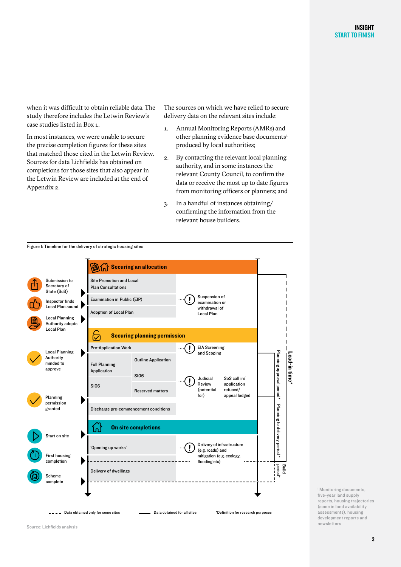when it was difficult to obtain reliable data. The study therefore includes the Letwin Review's case studies listed in Box 1.

In most instances, we were unable to secure the precise completion figures for these sites that matched those cited in the Letwin Review. Sources for data Lichfields has obtained on completions for those sites that also appear in the Letwin Review are included at the end of Appendix 2.

The sources on which we have relied to secure delivery data on the relevant sites include:

- 1. Annual Monitoring Reports (AMRs) and other planning evidence base documents<sup>1</sup> produced by local authorities;
- 2. By contacting the relevant local planning authority, and in some instances the relevant County Council, to confirm the data or receive the most up to date figures from monitoring officers or planners; and
- 3. In a handful of instances obtaining/ confirming the information from the relevant house builders.

Figure 1: Timeline for the delivery of strategic housing sites  $\widehat{\mathbb{S}}$   $\widehat{h}$  Securing an allocation Site Promotion and Local Submission to Secretary of Plan Consultations State (SoS) Suspension of Examination in Public (EIP) ! Inspector finds examination or Local Plan sound withdrawal of Adoption of Local Plan Local Plan Local Planning Authority adopts Local Plan ञि Securing planning permission Pre-Application Work EIA Screening **1)** EIA Screenin<br>and Scoping Local Planning Planning approval period\* Lead-in time<sup>\*</sup> Planning approval period\* Lead-in time\* Authority Outline Application minded to Full Planning approve Application S106 SoS call in/ Judicial !<br>! application Review S106 (potential refused/ Reserved matters for) appeal lodged Planning  $\blacktriangleright$ permission Planning to delivery period Planning to delivery period \* Discharge pre-commencement conditions granted On site completions ڑ<br>آن  $\blacksquare$ Start on site Delivery of infrastructure !<br>! 'Opening up works' (e.g. roads) and First housing 1 mitigation (e.g. ecology, completion  $\blacktriangleright$ ---------------flooding etc) period\* Build Delivery of dwellings Scheme complete Data obtained only for some sites Data obtained for all sites \*Definition for research purposes

1 Monitoring documents, five-year land supply reports, housing trajectories (some in land availability assessments), housing development reports and newsletters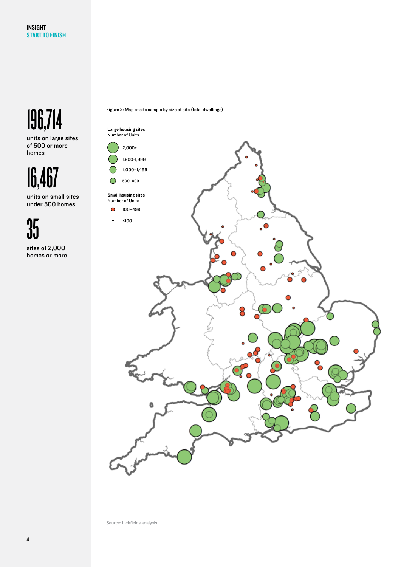# 196,714

units on large sites of 500 or more homes

16,467

units on small sites under 500 homes

35

sites of 2,000 homes or more



Figure 2: Map of site sample by size of site (total dwellings)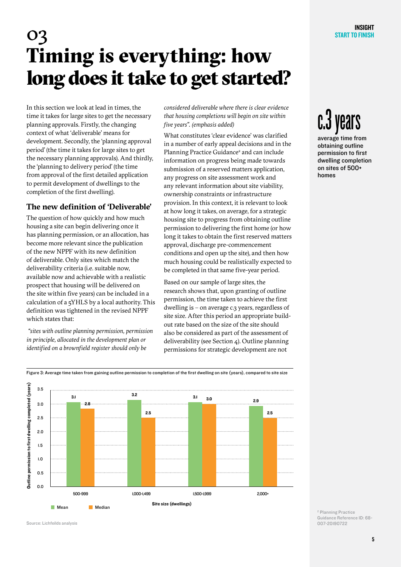## 03 Timing is everything: how long does it take to get started?

In this section we look at lead in times, the time it takes for large sites to get the necessary planning approvals. Firstly, the changing context of what 'deliverable' means for development. Secondly, the 'planning approval period' (the time it takes for large sites to get the necessary planning approvals). And thirdly, the 'planning to delivery period' (the time from approval of the first detailed application to permit development of dwellings to the completion of the first dwelling).

#### **The new definition of 'Deliverable'**

The question of how quickly and how much housing a site can begin delivering once it has planning permission, or an allocation, has become more relevant since the publication of the new NPPF with its new definition of deliverable. Only sites which match the deliverability criteria (i.e. suitable now, available now and achievable with a realistic prospect that housing will be delivered on the site within five years) can be included in a calculation of a 5YHLS by a local authority. This definition was tightened in the revised NPPF which states that:

 *"sites with outline planning permission, permission in principle, allocated in the development plan or identified on a brownfield register should only be* 

*considered deliverable where there is clear evidence that housing completions will begin on site within five years". (emphasis added)*

What constitutes 'clear evidence' was clarified in a number of early appeal decisions and in the Planning Practice Guidance<sup>2</sup> and can include information on progress being made towards submission of a reserved matters application, any progress on site assessment work and any relevant information about site viability, ownership constraints or infrastructure provision. In this context, it is relevant to look at how long it takes, on average, for a strategic housing site to progress from obtaining outline permission to delivering the first home (or how long it takes to obtain the first reserved matters approval, discharge pre-commencement conditions and open up the site), and then how much housing could be realistically expected to be completed in that same five-year period.

Based on our sample of large sites, the research shows that, upon granting of outline permission, the time taken to achieve the first dwelling is  $-$  on average c.3 years, regardless of site size. After this period an appropriate buildout rate based on the size of the site should also be considered as part of the assessment of deliverability (see Section 4). Outline planning permissions for strategic development are not

# c.3 years

average time from obtaining outline permission to first dwelling completion on sites of 500+ homes

Outline permission to first dwelling completed (years) Outline permission to first dwelling completed (years) 3.5  $3.1$   $3.2$  $\frac{3.1}{2.9}$  3.0 2.9 2.8 3.0 2.5 2.5 2.5 2.0 1.5 . . . . . . . . . 1.0 . . . . . . . . . . 0.5

> Site size (dwellings) 500-999 1,000-1,499 1,500-1,999 2,000+

Figure 3: Average time taken from gaining outline permission to completion of the first dwelling on site (years), compared to site size

Source: Lichfeilds analysis

 $0.0$ 

Mean

Median

2 Planning Practice Guidance Reference ID: 68- 007-20190722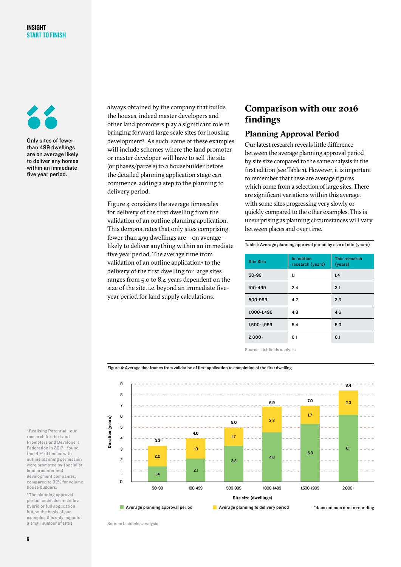

Only sites of fewer than 499 dwellings are on average likely to deliver any homes within an immediate five year period.

always obtained by the company that builds the houses, indeed master developers and other land promoters play a significant role in bringing forward large scale sites for housing development3 . As such, some of these examples will include schemes where the land promoter or master developer will have to sell the site (or phases/parcels) to a housebuilder before the detailed planning application stage can commence, adding a step to the planning to delivery period.

Figure 4 considers the average timescales for delivery of the first dwelling from the validation of an outline planning application. This demonstrates that only sites comprising fewer than 499 dwellings are – on average likely to deliver anything within an immediate five year period. The average time from validation of an outline application<sup>4</sup> to the delivery of the first dwelling for large sites ranges from 5.0 to 8.4 years dependent on the size of the site, i.e. beyond an immediate fiveyear period for land supply calculations.

#### **Comparison with our 2016 findings**

#### **Planning Approval Period**

Our latest research reveals little difference between the average planning approval period by site size compared to the same analysis in the first edition (see Table 1). However, it is important to remember that these are average figures which come from a selection of large sites. There are significant variations within this average, with some sites progressing very slowly or quickly compared to the other examples. This is unsurprising as planning circumstances will vary between places and over time.

Table 1: Average planning approval period by size of site (years)

| <b>Site Size</b> | <b>Ist edition</b><br>research (years) | This research<br>(years) |
|------------------|----------------------------------------|--------------------------|
| 50-99            | $\mathbf{L}$                           | 1.4                      |
| $100 - 499$      | 2.4                                    | 2.1                      |
| 500-999          | 4.2                                    | 3.3                      |
| $1.000 - 1.499$  | 4.8                                    | 4.6                      |
| 1,500-1,999      | 5.4                                    | 5.3                      |
| $2.000+$         | 6.1                                    | 6.1                      |

Source: Lichfields analysis

Figure 4: Average timeframes from validation of first application to completion of the first dwelling



3 Realising Potential - our research for the Land Promoters and Developers Federation in 2017 - found that 41% of homes with outline planning permission were promoted by specialist land promoter and development companies, compared to 32% for volume house builders.

4 The planning approval period could also include a hybrid or full application, but on the basis of our examples this only impacts a small number of sites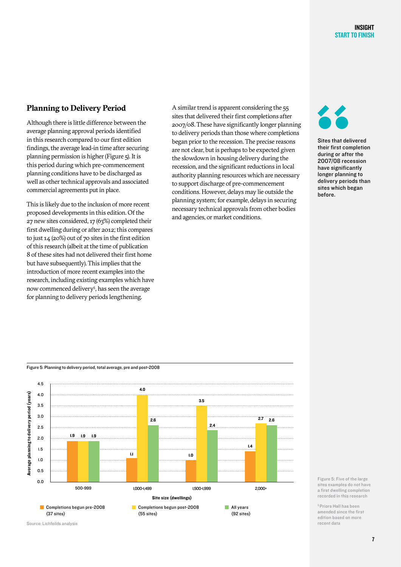#### **Planning to Delivery Period**

Although there is little difference between the average planning approval periods identified in this research compared to our first edition findings, the average lead-in time after securing planning permission is higher (Figure 5). It is this period during which pre-commencement planning conditions have to be discharged as well as other technical approvals and associated commercial agreements put in place.

This is likely due to the inclusion of more recent proposed developments in this edition. Of the 27 new sites considered, 17 (63%) completed their first dwelling during or after 2012; this compares to just 14 (20%) out of 70 sites in the first edition of this research (albeit at the time of publication 8 of these sites had not delivered their first home but have subsequently). This implies that the introduction of more recent examples into the research, including existing examples which have now commenced delivery<sup>5</sup>, has seen the average for planning to delivery periods lengthening.

A similar trend is apparent considering the 55 sites that delivered their first completions after 2007/08. These have significantly longer planning to delivery periods than those where completions began prior to the recession. The precise reasons are not clear, but is perhaps to be expected given the slowdown in housing delivery during the recession, and the significant reductions in local authority planning resources which are necessary to support discharge of pre-commencement conditions. However, delays may lie outside the planning system; for example, delays in securing necessary technical approvals from other bodies and agencies, or market conditions.

> All years (92 sites)

Sites that delivered their first completion during or after the 2007/08 recession have significantly longer planning to delivery periods than sites which began before.



**Completions begun post-2008** 

(55 sites)

Completions begun pre-2008

Figure 5: Five of the large sites examples do not have a first dwelling completion recorded in this research

5 Priors Hall has been amended since the first edition based on more recent data

Source: Lichfeilds analysis (37 sites)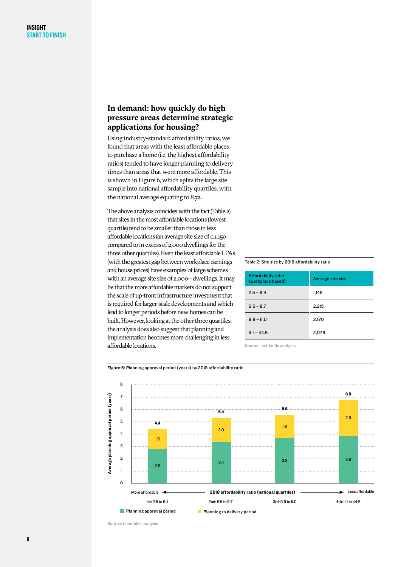#### **In demand: how quickly do high pressure areas determine strategic applications for housing?**

Using industry-standard affordability ratios, we found that areas with the least affordable places to purchase a home (i.e. the highest affordability ratios) tended to have longer planning to delivery times than areas that were more affordable. This is shown in Figure 6, which splits the large site sample into national affordability quartiles, with the national average equating to 8.72.

The above analysis coincides with the fact (Table 2) that sites in the most affordable locations (lowest quartile) tend to be smaller than those in less affordable locations (an average site size of c.1,150 compared to in excess of 2,000 dwellings for the three other quartiles). Even the least affordable LPAs (with the greatest gap between workplace earnings and house prices) have examples of large schemes with an average site size of 2,000+ dwellings. It may be that the more affordable markets do not support the scale of up-front infrastructure investment that is required for larger-scale developments and which lead to longer periods before new homes can be built. However, looking at the other three quartiles, the analysis does also suggest that planning and implementation becomes more challenging in less affordable locations.

#### Table 2: Site size by 2018 affordability ratio

| <b>Affordability ratio</b><br>(workplace based) | Average site size |
|-------------------------------------------------|-------------------|
| $2.5 - 6.4$                                     | 1,149             |
| $6.5 - 8.7$                                     | 2.215             |
| $8.8 - 11.0$                                    | 2,170             |
| $II.1 - 44.5$                                   | 2.079             |

Source: Lichfields analysis



#### Figure 6: Planning approval period (years) by 2018 affordability ratio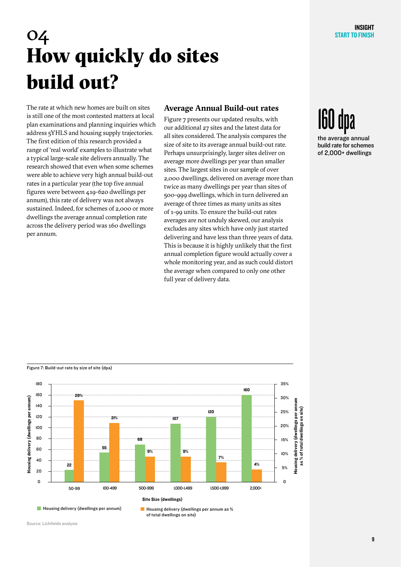## 04 How quickly do sites build out?

The rate at which new homes are built on sites is still one of the most contested matters at local plan examinations and planning inquiries which address 5YHLS and housing supply trajectories. The first edition of this research provided a range of 'real world' examples to illustrate what a typical large-scale site delivers annually. The research showed that even when some schemes were able to achieve very high annual build-out rates in a particular year (the top five annual figures were between 419-620 dwellings per annum), this rate of delivery was not always sustained. Indeed, for schemes of 2,000 or more dwellings the average annual completion rate across the delivery period was 160 dwellings per annum.

#### **Average Annual Build-out rates**

Figure 7 presents our updated results, with our additional 27 sites and the latest data for all sites considered. The analysis compares the size of site to its average annual build-out rate. Perhaps unsurprisingly, larger sites deliver on average more dwellings per year than smaller sites. The largest sites in our sample of over 2,000 dwellings, delivered on average more than twice as many dwellings per year than sites of 500-999 dwellings, which in turn delivered an average of three times as many units as sites of 1-99 units. To ensure the build-out rates averages are not unduly skewed, our analysis excludes any sites which have only just started delivering and have less than three years of data. This is because it is highly unlikely that the first annual completion figure would actually cover a whole monitoring year, and as such could distort the average when compared to only one other full year of delivery data.

# **Ibu dpa**

the average annual build rate for schemes of 2,000+ dwellings



 $\blacksquare$  Housing delivery (dwellings per annum)  $\blacksquare$  Housing delivery (dwellings per annum as % of total dwellings on site)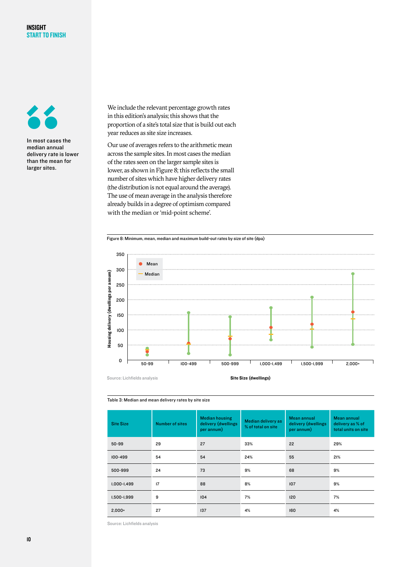

In most cases the median annual delivery rate is lower than the mean for larger sites.

We include the relevant percentage growth rates in this edition's analysis; this shows that the proportion of a site's total size that is build out each year reduces as site size increases.

Our use of averages refers to the arithmetic mean across the sample sites. In most cases the median of the rates seen on the larger sample sites is lower, as shown in Figure 8; this reflects the small number of sites which have higher delivery rates (the distribution is not equal around the average). The use of mean average in the analysis therefore already builds in a degree of optimism compared with the median or 'mid-point scheme'.





Table 3: Median and mean delivery rates by site size

| <b>Site Size</b> | <b>Number of sites</b> | <b>Median housing</b><br>delivery (dwellings<br>per annum) | Median delivery as<br>% of total on site | Mean annual<br>delivery (dwellings<br>per annum) | Mean annual<br>delivery as % of<br>total units on site |
|------------------|------------------------|------------------------------------------------------------|------------------------------------------|--------------------------------------------------|--------------------------------------------------------|
| $50 - 99$        | 29                     | 27                                                         | 33%                                      | 22                                               | 29%                                                    |
| $100 - 499$      | 54                     | 54                                                         | 24%                                      | 55                                               | 21%                                                    |
| 500-999          | 24                     | 73                                                         | 9%                                       | 68                                               | 9%                                                     |
| $1,000 - 1,499$  | 17                     | 88                                                         | 8%                                       | 107                                              | 9%                                                     |
| 1,500-1,999      | 9                      | 104                                                        | 7%                                       | 120                                              | 7%                                                     |
| $2,000+$         | 27                     | 137                                                        | 4%                                       | 160                                              | 4%                                                     |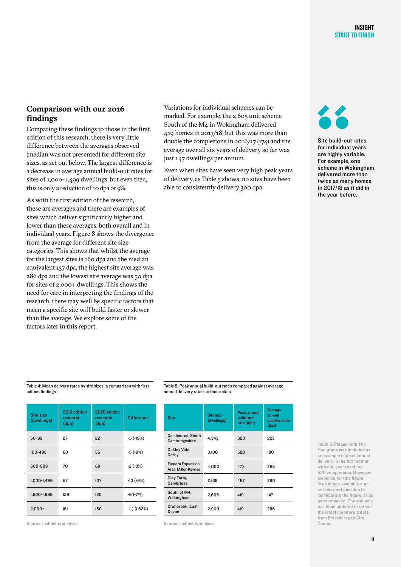#### **Comparison with our 2016 findings**

Comparing these findings to those in the first edition of this research, there is very little difference between the averages observed (median was not presented) for different site sizes, as set out below. The largest difference is a decrease in average annual build-out rates for sites of 1,000-1,499 dwellings, but even then, this is only a reduction of 10 dpa or 9%.

As with the first edition of the research, these are averages and there are examples of sites which deliver significantly higher and lower than these averages, both overall and in individual years. Figure 8 shows the divergence from the average for different site size categories. This shows that whilst the average for the largest sites is 160 dpa and the median equivalent 137 dpa, the highest site average was 286 dpa and the lowest site average was 50 dpa for sites of 2,000+ dwellings. This shows the need for care in interpreting the findings of the research, there may well be specific factors that mean a specific site will build faster or slower than the average. We explore some of the factors later in this report.

Variations for individual schemes can be marked. For example, the 2,605 unit scheme South of the M4 in Wokingham delivered 419 homes in 2017/18, but this was more than double the completions in 2016/17 (174) and the average over all six years of delivery so far was just 147 dwellings per annum.

Even when sites have seen very high peak years of delivery, as Table 5 shows, no sites have been able to consistently delivery 300 dpa.



Site build-out rates for individual years are highly variable. For example, one scheme in Wokingham delivered more than twice as many homes in 2017/18 as it did in the year before.

Table 4: Mean delivery rates by site sizes, a comparison with first edition findings

| Site size<br>(dwellings) | 2016 edition<br>research<br>(dpa) | 2020 edition<br>research<br>(dpa) | <b>Difference</b> |
|--------------------------|-----------------------------------|-----------------------------------|-------------------|
| 50-99                    | 27                                | 22                                | $-5(-19%)$        |
| 100-499                  | 60                                | 55                                | $-5(-8%)$         |
| 500-999                  | 70                                | 68                                | $-2(-3%)$         |
| 1,000-1,499              | II7                               | 107                               | $-10(-9%)$        |
| 1,500-1,999              | 129                               | 120                               | $-9(-7%)$         |
| $2,000+$                 | 6                                 | 160                               | $-1(-0.62%)$      |

Table 5: Peak annual build-out rates compared against average annual delivery rates on those sites

| <b>Site</b>                                     | Site size<br>(dwellings) | Peak annual<br>build-out<br>rate (dpa) | Average<br>annual<br>build-out rate |
|-------------------------------------------------|--------------------------|----------------------------------------|-------------------------------------|
|                                                 |                          |                                        | (dpa)                               |
| Cambourne, South<br>Cambridgeshire              | 4.343                    | 620                                    | 223                                 |
| Oakley Vale,<br>Corby                           | 3.100                    | 520                                    | 180                                 |
| <b>Eastern Expansion</b><br>Area, Milton Keynes | 4.000                    | 473                                    | 268                                 |
| Clay Farm,<br>Cambridge                         | 2.169                    | 467                                    | 260                                 |
| South of M4,<br>Wokingham                       | 2.605                    | 419                                    | 147                                 |
| Cranbrook, East<br>Devon                        | 2.900                    | 419                                    | 286                                 |

Source: Lichfields analysis

Source: Lichfields analysis

Table 5: Please note The Hamptons was included as an example of peak annual delivery in the first edition with one year reaching 520 completions. However, evidence for this figure is no longer available and as it was not possible to corroborate the figure it has been removed. The analysis has been updated to reflect the latest monitoring data from Peterborough City Council.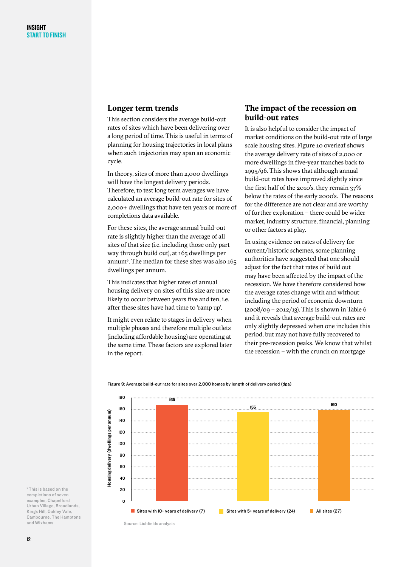#### **Longer term trends**

This section considers the average build-out rates of sites which have been delivering over a long period of time. This is useful in terms of planning for housing trajectories in local plans when such trajectories may span an economic cycle.

In theory, sites of more than 2,000 dwellings will have the longest delivery periods. Therefore, to test long term averages we have calculated an average build-out rate for sites of 2,000+ dwellings that have ten years or more of completions data available.

For these sites, the average annual build-out rate is slightly higher than the average of all sites of that size (i.e. including those only part way through build out), at 165 dwellings per annum $6$ . The median for these sites was also 165 dwellings per annum.

This indicates that higher rates of annual housing delivery on sites of this size are more likely to occur between years five and ten, i.e. after these sites have had time to 'ramp up'.

It might even relate to stages in delivery when multiple phases and therefore multiple outlets (including affordable housing) are operating at the same time. These factors are explored later in the report.

#### **The impact of the recession on build-out rates**

It is also helpful to consider the impact of market conditions on the build-out rate of large scale housing sites. Figure 10 overleaf shows the average delivery rate of sites of 2,000 or more dwellings in five-year tranches back to 1995/96. This shows that although annual build-out rates have improved slightly since the first half of the 2010's, they remain 37% below the rates of the early 2000's. The reasons for the difference are not clear and are worthy of further exploration – there could be wider market, industry structure, financial, planning or other factors at play.

In using evidence on rates of delivery for current/historic schemes, some planning authorities have suggested that one should adjust for the fact that rates of build out may have been affected by the impact of the recession. We have therefore considered how the average rates change with and without including the period of economic downturn  $(2008/09 - 2012/13)$ . This is shown in Table 6 and it reveals that average build-out rates are only slightly depressed when one includes this period, but may not have fully recovered to their pre-recession peaks. We know that whilst the recession – with the crunch on mortgage



#### Figure 9: Average build-out rate for sites over 2,000 homes by length of delivery period (dpa)

6 This is based on the completions of seven examples, Chapelford Urban Village, Broadlands, Kings Hill, Oakley Vale, Cambourne, The Hamptons and Wixhams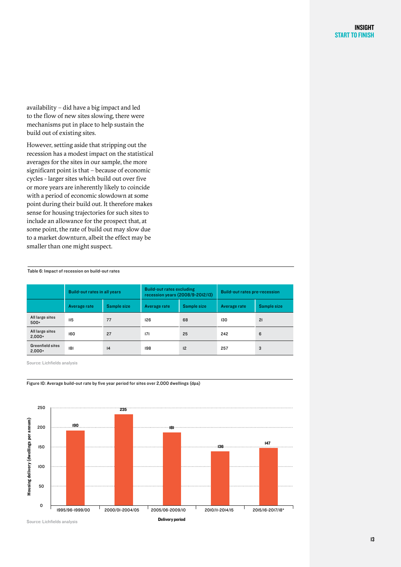availability – did have a big impact and led to the flow of new sites slowing, there were mechanisms put in place to help sustain the build out of existing sites.

However, setting aside that stripping out the recession has a modest impact on the statistical averages for the sites in our sample, the more significant point is that – because of economic cycles - larger sites which build out over five or more years are inherently likely to coincide with a period of economic slowdown at some point during their build out. It therefore makes sense for housing trajectories for such sites to include an allowance for the prospect that, at some point, the rate of build out may slow due to a market downturn, albeit the effect may be smaller than one might suspect.

Table 6: Impact of recession on build-out rates

|                                     | <b>Build-out rates in all years</b> |             | <b>Build-out rates excluding</b><br>recession years (2008/9-2012/13) |             | <b>Build-out rates pre-recession</b> |             |
|-------------------------------------|-------------------------------------|-------------|----------------------------------------------------------------------|-------------|--------------------------------------|-------------|
|                                     | Average rate                        | Sample size | Average rate                                                         | Sample size | Average rate                         | Sample size |
| All large sites<br>$500+$           | II <sub>5</sub>                     | 77          | 126                                                                  | 68          | 130                                  | 21          |
| All large sites<br>$2.000+$         | 160                                 | 27          | 171                                                                  | 25          | 242                                  | 6           |
| <b>Greenfield sites</b><br>$2.000+$ | 8                                   | 4           | 198                                                                  | 12          | 257                                  | 3           |

Source: Lichfields analysis



Figure 10: Average build-out rate by five year period for sites over 2,000 dwellings (dpa)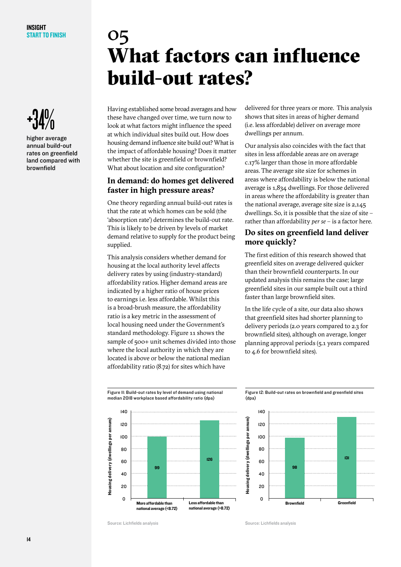

higher average annual build-out rates on greenfield land compared with brownfield

## 05 What factors can influence build-out rates?

Having established some broad averages and how these have changed over time, we turn now to look at what factors might influence the speed at which individual sites build out. How does housing demand influence site build out? What is the impact of affordable housing? Does it matter whether the site is greenfield or brownfield? What about location and site configuration?

#### **In demand: do homes get delivered faster in high pressure areas?**

One theory regarding annual build-out rates is that the rate at which homes can be sold (the 'absorption rate') determines the build-out rate. This is likely to be driven by levels of market demand relative to supply for the product being supplied.

This analysis considers whether demand for housing at the local authority level affects delivery rates by using (industry-standard) affordability ratios. Higher demand areas are indicated by a higher ratio of house prices to earnings i.e. less affordable. Whilst this is a broad-brush measure, the affordability ratio is a key metric in the assessment of local housing need under the Government's standard methodology. Figure 11 shows the sample of 500+ unit schemes divided into those where the local authority in which they are located is above or below the national median affordability ratio (8.72) for sites which have

delivered for three years or more. This analysis shows that sites in areas of higher demand (i.e. less affordable) deliver on average more dwellings per annum.

Our analysis also coincides with the fact that sites in less affordable areas are on average c.17% larger than those in more affordable areas. The average site size for schemes in areas where affordability is below the national average is 1,834 dwellings. For those delivered in areas where the affordability is greater than the national average, average site size is 2,145 dwellings. So, it is possible that the size of site – rather than affordability *per se* – is a factor here.

#### **Do sites on greenfield land deliver more quickly?**

The first edition of this research showed that greenfield sites on average delivered quicker than their brownfield counterparts. In our updated analysis this remains the case; large greenfield sites in our sample built out a third faster than large brownfield sites.

In the life cycle of a site, our data also shows that greenfield sites had shorter planning to delivery periods (2.0 years compared to 2.3 for brownfield sites), although on average, longer planning approval periods (5.1 years compared to 4.6 for brownfield sites).





Figure 12: Build-out rates on brownfield and greenfield sites (dpa)

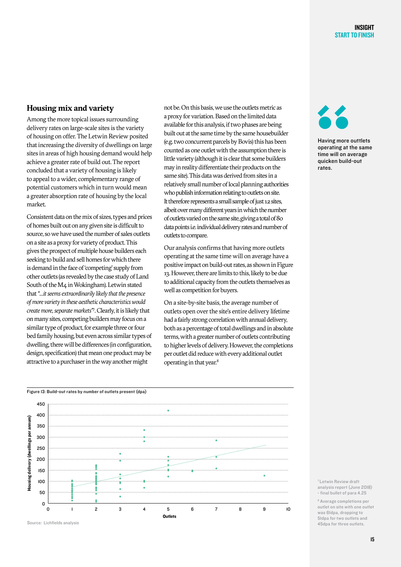#### **Housing mix and variety**

Among the more topical issues surrounding delivery rates on large-scale sites is the variety of housing on offer. The Letwin Review posited that increasing the diversity of dwellings on large sites in areas of high housing demand would help achieve a greater rate of build out. The report concluded that a variety of housing is likely to appeal to a wider, complementary range of potential customers which in turn would mean a greater absorption rate of housing by the local market.

Consistent data on the mix of sizes, types and prices of homes built out on any given site is difficult to source, so we have used the number of sales outlets on a site as a proxy for variety of product. This gives the prospect of multiple house builders each seeking to build and sell homes for which there is demand in the face of 'competing' supply from other outlets (as revealed by the case study of Land South of the M4 in Wokingham). Letwin stated that *"…it seems extraordinarily likely that the presence of more variety in these aesthetic characteristics would create more, separate markets"7* . Clearly, it is likely that on many sites, competing builders may focus on a similar type of product, for example three or four bed family housing, but even across similar types of dwelling, there will be differences (in configuration, design, specification) that mean one product may be attractive to a purchaser in the way another might

not be. On this basis, we use the outlets metric as a proxy for variation. Based on the limited data available for this analysis, if two phases are being built out at the same time by the same housebuilder (e.g. two concurrent parcels by Bovis) this has been counted as one outlet with the assumption there is little variety (although it is clear that some builders may in reality differentiate their products on the same site). This data was derived from sites in a relatively small number of local planning authorities who publish information relating to outlets on site. It therefore represents a small sample of just 12 sites, albeit over many different years in which the number of outlets varied on the same site, giving a total of 80 data points i.e. individual delivery rates and number of outlets to compare.

Our analysis confirms that having more outlets operating at the same time will on average have a positive impact on build-out rates, as shown in Figure 13. However, there are limits to this, likely to be due to additional capacity from the outlets themselves as well as competition for buyers.

On a site-by-site basis, the average number of outlets open over the site's entire delivery lifetime had a fairly strong correlation with annual delivery, both as a percentage of total dwellings and in absolute terms, with a greater number of outlets contributing to higher levels of delivery. However, the completions per outlet did reduce with every additional outlet operating in that year.8



Having more outtlets operating at the same time will on average quicken build-out rates.





Source: Lichfields analysis

7 Letwin Review draft analysis report (June 2018) - final bullet of para 4.25

8 Average completions per outlet on site with one outlet was 61dpa, dropping to 51dpa for two outlets and 45dpa for three outlets.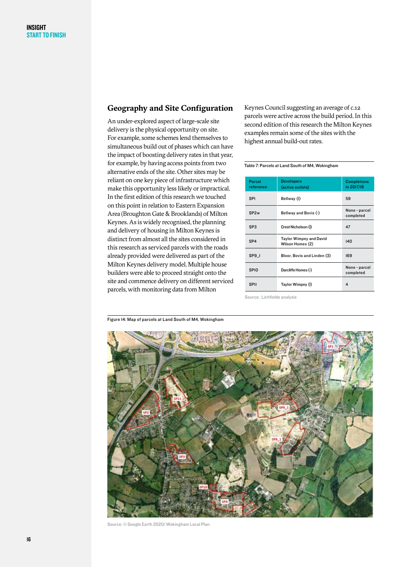#### **Geography and Site Configuration**

An under-explored aspect of large-scale site delivery is the physical opportunity on site. For example, some schemes lend themselves to simultaneous build out of phases which can have the impact of boosting delivery rates in that year, for example, by having access points from two alternative ends of the site. Other sites may be reliant on one key piece of infrastructure which make this opportunity less likely or impractical. In the first edition of this research we touched on this point in relation to Eastern Expansion Area (Broughton Gate & Brooklands) of Milton Keynes. As is widely recognised, the planning and delivery of housing in Milton Keynes is distinct from almost all the sites considered in this research as serviced parcels with the roads already provided were delivered as part of the Milton Keynes delivery model. Multiple house builders were able to proceed straight onto the site and commence delivery on different serviced parcels, with monitoring data from Milton

Keynes Council suggesting an average of c.12 parcels were active across the build period. In this second edition of this research the Milton Keynes examples remain some of the sites with the highest annual build-out rates.

#### Table 7: Parcels at Land South of M4, Wokingham

| Parcel<br>reference | <b>Developers</b><br>(active outlets)       | <b>Completions</b><br>in 2017/18 |
|---------------------|---------------------------------------------|----------------------------------|
| <b>SPI</b>          | Bellway (I)                                 | 59                               |
| SP <sub>2w</sub>    | Bellway and Bovis (-)                       | None - parcel<br>completed       |
| SP <sub>3</sub>     | Crest Nicholson (I)                         | 47                               |
| SP <sub>4</sub>     | Taylor Wimpey and David<br>Wilson Homes (2) | 140                              |
| SP <sub>9</sub> 1   | Bloor, Bovis and Linden (3)                 | 169                              |
| <b>SPIO</b>         | Darcliffe Homes (-)                         | None - parcel<br>completed       |
| <b>SPII</b>         | Taylor Wimpey (I)                           | 4                                |



Source: © Google Earth 2020/ Wokingham Local Plan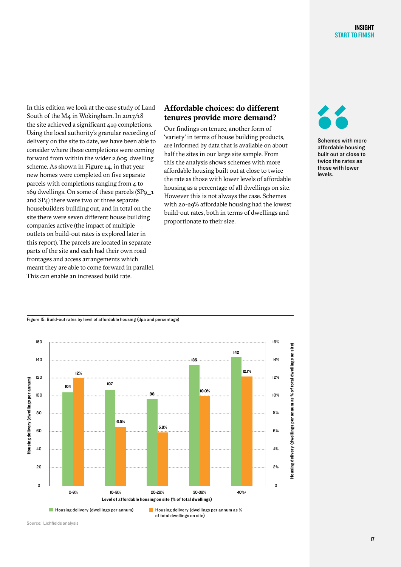In this edition we look at the case study of Land South of the M4 in Wokingham. In 2017/18 the site achieved a significant 419 completions. Using the local authority's granular recording of delivery on the site to date, we have been able to consider where these completions were coming forward from within the wider 2,605 dwelling scheme. As shown in Figure 14, in that year new homes were completed on five separate parcels with completions ranging from 4 to 169 dwellings. On some of these parcels (SP9\_1 and SP4) there were two or three separate housebuilders building out, and in total on the site there were seven different house building companies active (the impact of multiple outlets on build-out rates is explored later in this report). The parcels are located in separate parts of the site and each had their own road frontages and access arrangements which meant they are able to come forward in parallel. This can enable an increased build rate.

#### **Affordable choices: do different tenures provide more demand?**

Our findings on tenure, another form of 'variety' in terms of house building products, are informed by data that is available on about half the sites in our large site sample. From this the analysis shows schemes with more affordable housing built out at close to twice the rate as those with lower levels of affordable housing as a percentage of all dwellings on site. However this is not always the case. Schemes with 20-29% affordable housing had the lowest build-out rates, both in terms of dwellings and proportionate to their size.



Schemes with more affordable housing built out at close to twice the rates as those with lower levels.

#### Figure 15: Build-out rates by level of affordable housing (dpa and percentage)



of total dwellings on site)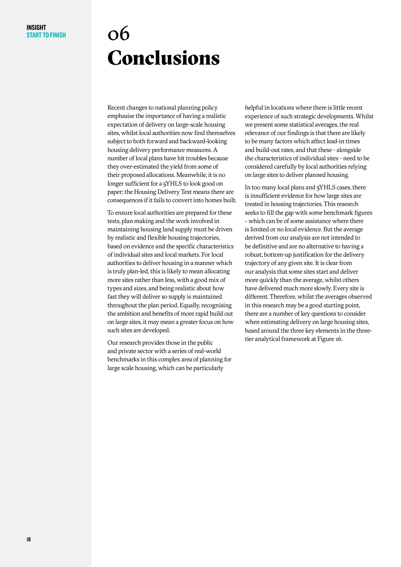## 06 Conclusions

Recent changes to national planning policy emphasise the importance of having a realistic expectation of delivery on large-scale housing sites, whilst local authorities now find themselves subject to both forward and backward-looking housing delivery performance measures. A number of local plans have hit troubles because they over-estimated the yield from some of their proposed allocations. Meanwhile, it is no longer sufficient for a 5YHLS to look good on paper; the Housing Delivery Test means there are consequences if it fails to convert into homes built.

To ensure local authorities are prepared for these tests, plan making and the work involved in maintaining housing land supply must be driven by realistic and flexible housing trajectories, based on evidence and the specific characteristics of individual sites and local markets. For local authorities to deliver housing in a manner which is truly plan-led, this is likely to mean allocating more sites rather than less, with a good mix of types and sizes, and being realistic about how fast they will deliver so supply is maintained throughout the plan period. Equally, recognising the ambition and benefits of more rapid build out on large sites, it may mean a greater focus on how such sites are developed.

Our research provides those in the public and private sector with a series of real-world benchmarks in this complex area of planning for large scale housing, which can be particularly

helpful in locations where there is little recent experience of such strategic developments. Whilst we present some statistical averages, the real relevance of our findings is that there are likely to be many factors which affect lead-in times and build-out rates, and that these - alongside the characteristics of individual sites - need to be considered carefully by local authorities relying on large sites to deliver planned housing.

In too many local plans and 5YHLS cases, there is insufficient evidence for how large sites are treated in housing trajectories. This research seeks to fill the gap with some benchmark figures - which can be of some assistance where there is limited or no local evidence. But the average derived from our analysis are not intended to be definitive and are no alternative to having a robust, bottom-up justification for the delivery trajectory of any given site. It is clear from our analysis that some sites start and deliver more quickly than the average, whilst others have delivered much more slowly. Every site is different. Therefore, whilst the averages observed in this research may be a good starting point, there are a number of key questions to consider when estimating delivery on large housing sites, based around the three key elements in the threetier analytical framework at Figure 16.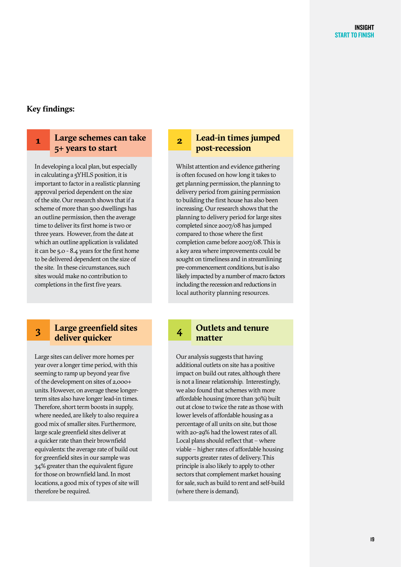#### **Key findings:**

#### **Large schemes can take 5+ years to start 1**

In developing a local plan, but especially in calculating a 5YHLS position, it is important to factor in a realistic planning approval period dependent on the size of the site. Our research shows that if a scheme of more than 500 dwellings has an outline permission, then the average time to deliver its first home is two or three years. However, from the date at which an outline application is validated it can be 5.0 - 8.4 years for the first home to be delivered dependent on the size of the site. In these circumstances, such sites would make no contribution to completions in the first five years.

#### **Large greenfield sites deliver quicker 3**

Large sites can deliver more homes per year over a longer time period, with this seeming to ramp up beyond year five of the development on sites of 2,000+ units. However, on average these longerterm sites also have longer lead-in times. Therefore, short term boosts in supply, where needed, are likely to also require a good mix of smaller sites. Furthermore, large scale greenfield sites deliver at a quicker rate than their brownfield equivalents: the average rate of build out for greenfield sites in our sample was 34% greater than the equivalent figure for those on brownfield land. In most locations, a good mix of types of site will therefore be required.

#### **Lead-in times jumped post-recession 2**

Whilst attention and evidence gathering is often focused on how long it takes to get planning permission, the planning to delivery period from gaining permission to building the first house has also been increasing. Our research shows that the planning to delivery period for large sites completed since 2007/08 has jumped compared to those where the first completion came before 2007/08. This is a key area where improvements could be sought on timeliness and in streamlining pre-commencement conditions, but is also likely impacted by a number of macro factors including the recession and reductions in local authority planning resources.

#### **Outlets and tenure matter 4**

Our analysis suggests that having additional outlets on site has a positive impact on build 0ut rates, although there is not a linear relationship. Interestingly, we also found that schemes with more affordable housing (more than 30%) built out at close to twice the rate as those with lower levels of affordable housing as a percentage of all units on site, but those with 20-29% had the lowest rates of all. Local plans should reflect that – where viable – higher rates of affordable housing supports greater rates of delivery. This principle is also likely to apply to other sectors that complement market housing for sale, such as build to rent and self-build (where there is demand).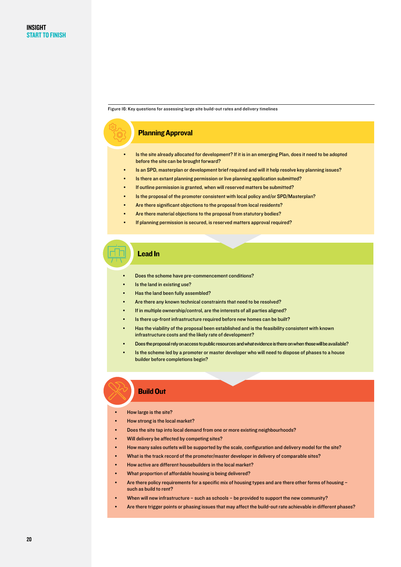Figure 16: Key questions for assessing large site build-out rates and delivery timelines

#### Planning Approval

- Is the site already allocated for development? If it is in an emerging Plan, does it need to be adopted before the site can be brought forward?
- Is an SPD, masterplan or development brief required and will it help resolve key planning issues?
- Is there an extant planning permission or live planning application submitted?
- If outline permission is granted, when will reserved matters be submitted?
- Is the proposal of the promoter consistent with local policy and/or SPD/Masterplan?
- Are there significant objections to the proposal from local residents?
- Are there material objections to the proposal from statutory bodies?
- If planning permission is secured, is reserved matters approval required?

#### Lead In

- Does the scheme have pre-commencement conditions?
- Is the land in existing use?
- Has the land been fully assembled?
- Are there any known technical constraints that need to be resolved?
- If in multiple ownership/control, are the interests of all parties aligned?
- Is there up-front infrastructure required before new homes can be built?
- Has the viability of the proposal been established and is the feasibility consistent with known infrastructure costs and the likely rate of development?
- Does the proposal rely on access to public resources and what evidence is there on when those will be available?
- Is the scheme led by a promoter or master developer who will need to dispose of phases to a house builder before completions begin?

#### Build Out

- How large is the site?
- How strong is the local market?
- Does the site tap into local demand from one or more existing neighbourhoods?
- Will delivery be affected by competing sites?
- How many sales outlets will be supported by the scale, configuration and delivery model for the site?
- What is the track record of the promoter/master developer in delivery of comparable sites?
- How active are different housebuilders in the local market?
- What proportion of affordable housing is being delivered?
- Are there policy requirements for a specific mix of housing types and are there other forms of housing such as build to rent?
- When will new infrastructure such as schools be provided to support the new community?
- Are there trigger points or phasing issues that may affect the build-out rate achievable in different phases?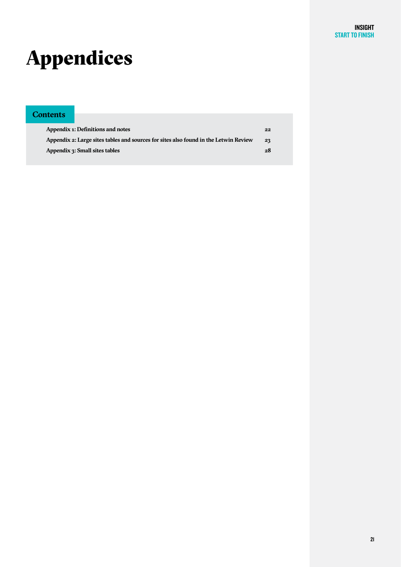# Appendices

#### **Contents**

| Appendix 1: Definitions and notes                                                    | $22^{\circ}$ |
|--------------------------------------------------------------------------------------|--------------|
| Appendix 2: Large sites tables and sources for sites also found in the Letwin Review | 23           |
| <b>Appendix 3: Small sites tables</b>                                                | 28           |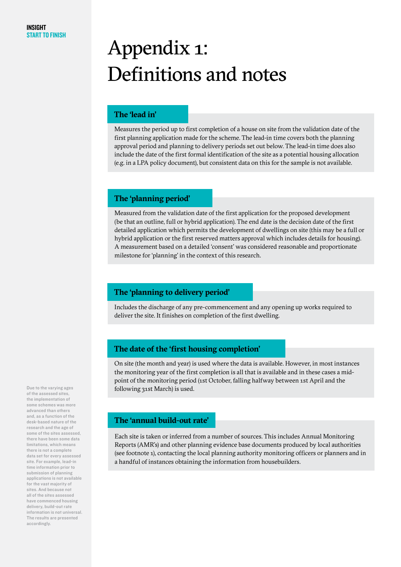# Appendix 1: Definitions and notes

#### **The 'lead in'**

Measures the period up to first completion of a house on site from the validation date of the first planning application made for the scheme. The lead-in time covers both the planning approval period and planning to delivery periods set out below. The lead-in time does also include the date of the first formal identification of the site as a potential housing allocation (e.g. in a LPA policy document), but consistent data on this for the sample is not available.

#### **The 'planning period'**

Measured from the validation date of the first application for the proposed development (be that an outline, full or hybrid application). The end date is the decision date of the first detailed application which permits the development of dwellings on site (this may be a full or hybrid application or the first reserved matters approval which includes details for housing). A measurement based on a detailed 'consent' was considered reasonable and proportionate milestone for 'planning' in the context of this research.

#### **The 'planning to delivery period'**

Includes the discharge of any pre-commencement and any opening up works required to deliver the site. It finishes on completion of the first dwelling.

#### **The date of the 'first housing completion'**

On site (the month and year) is used where the data is available. However, in most instances the monitoring year of the first completion is all that is available and in these cases a midpoint of the monitoring period (1st October, falling halfway between 1st April and the following 31st March) is used.

#### **The 'annual build-out rate'**

Each site is taken or inferred from a number of sources. This includes Annual Monitoring Reports (AMR's) and other planning evidence base documents produced by local authorities (see footnote 1), contacting the local planning authority monitoring officers or planners and in a handful of instances obtaining the information from housebuilders.

Due to the varying ages of the assessed sites, the implementation of some schemes was more advanced than others and, as a function of the desk-based nature of the research and the age of some of the sites assessed, there have been some data limitations, which means there is not a complete data set for every assessed site. For example, lead-in time information prior to submission of planning applications is not available for the vast majority of sites. And because not all of the sites assessed have commenced housing delivery, build-out rate information is not universal. The results are presented accordingly.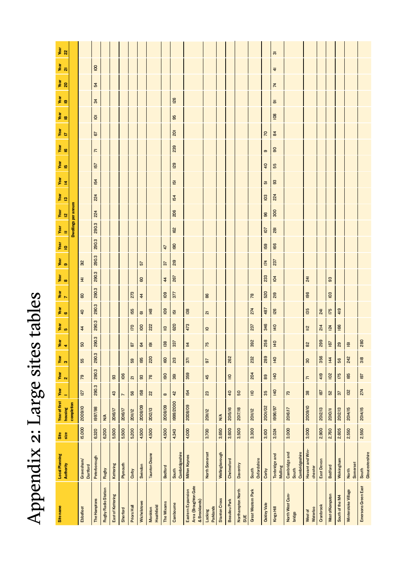# Appendix 2: Large sites tables Appendix 2: Large sites tables

| Site name                                                  | <b>Local Planning</b><br>Authority       | Site<br>size      | <b>Year of first</b><br>housing | Year<br>۰                                   | Year<br>$\mathbf{N}$              | Year<br>$\bullet$ | Year<br>$\blacktriangleleft$ | year<br>5                               | year<br>G               | $\frac{1}{\sqrt{2}}$    | Year<br>8      | Year<br>9 | Year<br>IO | $\frac{1}{\sqrt{2}}$ | Year<br>I2 | year<br>19 | Year<br>15<br>Year<br>14    |                         | Year<br>I7<br>Year<br>16 | Year<br>18              | Year<br>19          | Year<br>20     | $\frac{1}{2}$  | year<br>22          |
|------------------------------------------------------------|------------------------------------------|-------------------|---------------------------------|---------------------------------------------|-----------------------------------|-------------------|------------------------------|-----------------------------------------|-------------------------|-------------------------|----------------|-----------|------------|----------------------|------------|------------|-----------------------------|-------------------------|--------------------------|-------------------------|---------------------|----------------|----------------|---------------------|
|                                                            |                                          |                   | completion                      |                                             |                                   |                   |                              |                                         |                         |                         |                |           |            | Dwellings per annum  |            |            |                             |                         |                          |                         |                     |                |                |                     |
| Ebbsfleet                                                  | Gravesham/<br>Dartford                   | 15,000            | 2009/10                         | 127                                         | <b>PS</b>                         | 55                | ${\tt S}$                    | $\overline{\overline{4}}$               | $\overline{\mathsf{q}}$ | GO                      | $\overline{4}$ | 312       |            |                      |            |            |                             |                         |                          |                         |                     |                |                |                     |
| The Hamptons                                               | Peterborough                             | 6,320             | 1997/98                         | 290.3                                       | 290.3                             | 290.3             | 290.3                        | 290.3                                   | 290.3                   | 290.3                   | 290.3          | 290.3     | 290.3      | 290.3                | 224        | 224        | 19<br>154                   | $\overline{\mathsf{r}}$ | 57                       | $\overline{\mathbf{Q}}$ | $\frac{3}{4}$       | 54             | $\overline{a}$ |                     |
| <b>Rugby Radio Station</b>                                 | Rugby                                    | 6,200             | N/A                             |                                             |                                   |                   |                              |                                         |                         |                         |                |           |            |                      |            |            |                             |                         |                          |                         |                     |                |                |                     |
| East of Kettering                                          | Kettering                                | 5,500             | <b>2016/17</b>                  | 43                                          | 63                                |                   |                              |                                         |                         |                         |                |           |            |                      |            |            |                             |                         |                          |                         |                     |                |                |                     |
| Sherford                                                   | Plymouth                                 | 5,500             | <b>2016/17</b>                  | $\overline{ }$                              | 106                               |                   |                              |                                         |                         |                         |                |           |            |                      |            |            |                             |                         |                          |                         |                     |                |                |                     |
| <b>Priors Hall</b>                                         | Corby                                    | 5,200             | <b>2011/12</b>                  | 56                                          | $\overline{\mathsf{c}\mathsf{u}}$ | Sā                | 87                           | <b>DZI</b>                              | 155                     | 273                     |                |           |            |                      |            |            |                             |                         |                          |                         |                     |                |                |                     |
| Wichelstowe                                                | Swindon                                  | 4,500             | 2008/09                         | 158                                         | 93                                | 195               | $\mathfrak{F}$               | $\overline{0}$                          | $\overline{\omega}$     | $\overline{\mathbf{r}}$ | $\mathsf{S}$   | 57        |            |                      |            |            |                             |                         |                          |                         |                     |                |                |                     |
| Heathfield<br>Monkton                                      | <b>Taunton Deane</b>                     | 4,500             | 2012/13                         | 22                                          | 76                                | 220               | $\overline{9}$               | 222                                     | 148                     |                         |                |           |            |                      |            |            |                             |                         |                          |                         |                     |                |                |                     |
| The Wixams                                                 | <b>Bedford</b>                           | 4,500             | 2008/09                         | $\infty$                                    | $\overline{\mathbf{g}}$           | 60                | 138                          | $\ensuremath{\underline{\mathfrak{S}}}$ | $\overline{6}$          | $\overline{6}$          | $\frac{4}{3}$  | 57        | 47         |                      |            |            |                             |                         |                          |                         |                     |                |                |                     |
| Cambourne                                                  | Cambridgeshire<br>South                  | 4,343             | 1999/2000                       | 42                                          | $\overline{30}$                   | 213               | 337                          | 620                                     | $\overline{5}$          | 377                     | 267            | 219       | 90         | 162                  | 206        | 154        | <b>29</b><br>$\overline{5}$ |                         | $\overline{a}$<br>239    | 99                      | <b>126</b>          |                |                |                     |
| Area (Broughton Gate<br>Eastern Expansion<br>& Brooklands) | <b>Milton Keynes</b>                     | $\frac{4,000}{ }$ | $\overline{2008/09}$            | 154                                         | 359                               | $\overline{37}$   | $\overline{4}$               | 473                                     | 138                     |                         |                |           |            |                      |            |            |                             |                         |                          |                         |                     |                |                |                     |
| Parklands<br>Locking                                       | North Somerset                           | 3,700             | <b>2011/12</b>                  | 23                                          | 45                                | 67                | 75                           | $\mathsf{P}$                            | $\overline{\mathbf{a}}$ | 88                      |                |           |            |                      |            |            |                             |                         |                          |                         |                     |                |                |                     |
| <b>Stanton Cross</b>                                       | Wellingborough                           | 3,650             | $\mathbb{N}^{\mathbb{A}}$       |                                             |                                   |                   |                              |                                         |                         |                         |                |           |            |                      |            |            |                             |                         |                          |                         |                     |                |                |                     |
| Beaulieu Park                                              | Chelmsford                               | 3,600             | 2015/16                         | $\overline{a}$                              | $\equiv$                          | 262               |                              |                                         |                         |                         |                |           |            |                      |            |            |                             |                         |                          |                         |                     |                |                |                     |
| Northampton North<br><b>SUE</b>                            | Daventry                                 | 3,500             | 2017/18                         | 50                                          |                                   |                   |                              |                                         |                         |                         |                |           |            |                      |            |            |                             |                         |                          |                         |                     |                |                |                     |
| Great Western Park                                         | Oxfordshire<br>South                     | 3,300             | <b>2011/12</b>                  | $\mathrel{\mathop{\underline{\mathsf{e}}}}$ | 204                               | 232               | 392                          | 237                                     | 274                     | $\overline{78}$         |                |           |            |                      |            |            |                             |                         |                          |                         |                     |                |                |                     |
| <b>Oakley Vale</b>                                         | Corby                                    | 3,100             | 2001/02                         | 35                                          | 89                                | 289               | 258                          | 346                                     | 487                     | 520                     | 233            | 174       | <b>I59</b> | IO7                  | 96         | <b>D3</b>  | $\overline{4}$<br>両         | $\sigma$                | R                        |                         |                     |                |                |                     |
| Kings Hill                                                 | Tonbridge and<br>Malling                 | 3,024             | 1896/97                         | $\frac{4}{7}$                               | $\frac{1}{4}$                     | $\frac{1}{40}$    | $\frac{40}{2}$               | $\frac{40}{2}$                          | <b>126</b>              | 219                     | $\overline{a}$ | 237       | 166        | $\overline{28}$      | 300        | 224        | 55<br>93                    | $\tt S$                 | $\overline{a}$           | 108                     | $\overline{\sigma}$ | $\overline{7}$ | $\frac{4}{3}$  | $\overline{\infty}$ |
| North West Cam-<br>bridge                                  | Cambridge and<br>Cambridgeshire<br>South | 3,000             | <b>2016/17</b>                  | $\mathbb{Z}^2$                              |                                   |                   |                              |                                         |                         |                         |                |           |            |                      |            |            |                             |                         |                          |                         |                     |                |                |                     |
| Waterloo<br>West of                                        | Havant and Win-<br>chester               | 3,000             | 2009/10                         | $38\,$                                      | $\overline{\mathsf{r}}$           | 30                | $_{\rm 82}$                  | $\cong$                                 | 135                     | 196                     | 241            |           |            |                      |            |            |                             |                         |                          |                         |                     |                |                |                     |
| Cranbrook                                                  | East Devon                               | 2,900             | 2012/13                         | 187                                         | 419                               | 356               | 299                          | 214                                     | $\overline{4}$          |                         |                |           |            |                      |            |            |                             |                         |                          |                         |                     |                |                |                     |
| West of Kempston                                           | <b>Bedford</b>                           | 2,760             | 2010/11                         | 52                                          | 102                               | $\overline{4}$    | 167                          | 124                                     | 175                     | $\overline{0}3$         | $_{93}$        |           |            |                      |            |            |                             |                         |                          |                         |                     |                |                |                     |
| South of the M4                                            | Wokingham                                | 2,605             | 2012/13                         | 37                                          | 175                               | SS                | 29                           | 166                                     | 419                     |                         |                |           |            |                      |            |            |                             |                         |                          |                         |                     |                |                |                     |
| Winterstoke Village                                        | Somerset<br>North                        | 2,550             | 2014/15                         | 132                                         | 185                               | 242               | $\overline{a}$               |                                         |                         |                         |                |           |            |                      |            |            |                             |                         |                          |                         |                     |                |                |                     |
| Emersons Green East                                        | Gloucestershire<br>South                 | 2,550             | 2014/15                         | 274                                         | 197                               | 318               | 280                          |                                         |                         |                         |                |           |            |                      |            |            |                             |                         |                          |                         |                     |                |                |                     |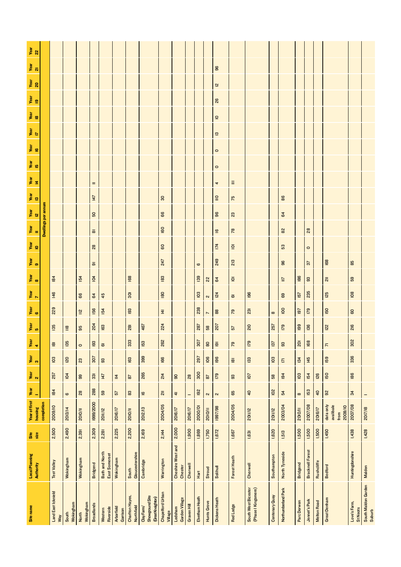|                                    |                     | <b>Test Valley</b> | Wokingham                                                                         | Wokingham      | <b>Bridgend</b>                       | <b>Bath and North</b><br>East Somerset | Wokingham      | Gloucestershire<br>South | Cambridge      | Warrington                | Cheshire West and<br>Chester | Cherwell       | $\frac{\text{t}}{\text{H}}$ | Stroud                  | Solihull                                  | Forest Heath                    | Cherwell                | Southampton    | North Tyneside   | <b>Bridgend</b> | <b>Bracknell Forest</b> | Rushcliffe     | <b>Bedford</b>                            | Huntingdonshire | Malden  |
|------------------------------------|---------------------|--------------------|-----------------------------------------------------------------------------------|----------------|---------------------------------------|----------------------------------------|----------------|--------------------------|----------------|---------------------------|------------------------------|----------------|-----------------------------|-------------------------|-------------------------------------------|---------------------------------|-------------------------|----------------|------------------|-----------------|-------------------------|----------------|-------------------------------------------|-----------------|---------|
| Local Planning<br><b>Authority</b> |                     |                    |                                                                                   |                |                                       |                                        |                |                          |                |                           |                              |                |                             |                         |                                           |                                 |                         |                |                  |                 |                         |                |                                           |                 |         |
| Site<br>size                       |                     | 2,500              | 2,490                                                                             | 2,391          | 2,309                                 | 2,281                                  | 2,225          | 2,200                    | 2,169          | 2,144                     | 2,000                        | 1,900          | 1,869                       | 1,750                   | 1,672                                     | 1,667                           | 1,631                   | 1,620          | 1,513            | 1,500           | 1,500                   | 1,500          | 1,450                                     | 1,438           | 1,428   |
| Year of first Year<br>housing      | completion          | 2009/10            | 2013/14                                                                           | <b>2010/11</b> | 1999/2000                             | 2011/12                                | <b>2016/17</b> | <b>NOID2</b>             | 2012/13        | 2004/05                   | <b>2016/17</b>               | <b>2016/17</b> | 2000/01                     | <b>NO102</b>            | 1997/98                                   | 2004/05                         | <b>2011/12</b>          | <b>2011/12</b> | 2003/04          | 2010/11         | 2007/08                 | 2016/17        | data only<br>avalibale<br>2009/10<br>from | 2007/08         | 2017/18 |
| ÷                                  |                     | 184                | $\pmb{\omega}$                                                                    | 28             | 288                                   | 59                                     | 57             | 83                       | $\overline{6}$ | $\overline{\overline{a}}$ | $\frac{4}{3}$                | -              | 192                         | $\sim$                  | $\sim$                                    | 65                              | $\overline{\mathsf{q}}$ | 102            | 54               | $\infty$        | 153                     | $\overline{a}$ | 92                                        | 34              |         |
| $\frac{1}{2}$                      |                     | 257                | 104                                                                               | 99             | $\overline{\phantom{a}}3\overline{3}$ | $\frac{1}{47}$                         | $\overline{4}$ | $\overline{\bf 8}$       | 265            | 214                       | $\mathsf{S}$                 | $_{\rm 28}$    | 300                         | $\overline{\mathbf{8}}$ | 179                                       | $93\,$                          | LO <sub>1</sub>         | $\mathbf{58}$  | 194              | $\overline{03}$ | 154                     | <b>126</b>     | 150                                       | 86              |         |
| Year<br>3                          |                     | $\overline{03}$    | $\overline{20}$                                                                   | 23             | 307                                   | 33                                     |                | 163                      | 399            | 166                       |                              |                | 297                         | $\overline{106}$        | 96                                        | $\overline{\underline{\omega}}$ | 133                     | 103            | $\overline{\Xi}$ | 134             | 145                     |                | 159                                       | 336             |         |
| $\frac{1}{4}$                      |                     | $\overline{a}$     | 135                                                                               | $\circ$        | 193                                   | $\overline{\omega}$                    |                | 333                      | 153            | 262                       |                              |                | 307                         | $\tt Q$                 | $\overline{9}$                            | 79                              | 179                     | 137            | $93$             | $\overline{a}$  | 168                     |                | $\overline{r}$                            | 302             |         |
| $\frac{1}{2}$                      |                     | 135                | $\mathrel{\mathop{\rule[0pt]{.4pt}{0.5pt}}\nolimits^\mathbf{\underline{\omega}}}$ | 95             | 204                                   | <b>i</b> 63                            |                | $\overline{28}$          | 467            | 224                       |                              |                | 287                         | ${\tt s}$               | 207                                       | $\sqrt{2}$                      | 210                     | 257            | 179              | 199             | 136                     |                | 122                                       | 216             |         |
| $\frac{1}{6}$                      |                     | 229                |                                                                                   | $\cong$        | 156                                   | $\overline{2}$                         |                | 193                      |                | 로                         |                              |                | 238                         | $\overline{ }$          | $_{\rm 8}$                                | 79                              | $\overline{23}$         | $\infty$       | $\overline{a}$   | 197             | <b>P21</b>              |                | 150                                       | 8               |         |
| $\frac{1}{\sqrt{2}}$               |                     | 146                |                                                                                   | 68             | 64                                    | 45                                     |                | $\overline{5}$           |                | 80                        |                              |                | $\overline{0}3$             | $\sim$                  | 124                                       | $\overline{\omega}$             | 196                     |                | 69               | 157             | 235                     |                | <b>125</b>                                | <b>108</b>      |         |
| Year<br>8                          |                     | 184                |                                                                                   | 154            | $\overline{\varpi}$<br>$\overline{9}$ |                                        |                | 168                      |                | 183                       |                              |                | $\mathbf \omega$<br>139     | $22$                    | 64                                        | $\bar{\mathbf{Q}}$              |                         |                | $\equiv$         | <b>186</b>      | 57<br>$\mathbf{S}$      |                |                                           | 59              |         |
| Year<br>IO<br>Year<br>9            |                     |                    |                                                                                   |                | $_{28}$                               |                                        |                |                          |                | 60<br>247                 |                              |                |                             |                         | $\overline{1}$<br>249                     | $\bar{\mathbf{Q}}$<br>213       |                         |                | 53<br>96         |                 | $\circ$                 |                | 168                                       | 85              |         |
|                                    |                     |                    |                                                                                   |                | $\overline{\infty}$                   |                                        |                |                          |                | 60                        |                              |                |                             |                         | $\overline{6}$                            | $78$                            |                         |                | $_{\rm 82}$      |                 | $_{\rm 28}$             |                |                                           |                 |         |
| Year Year Year<br>11 12 13         | Dwellings per annum |                    |                                                                                   |                | SO,                                   |                                        |                |                          |                | 66                        |                              |                |                             |                         | 96                                        | $23$                            |                         |                | 64               |                 |                         |                |                                           |                 |         |
|                                    |                     |                    |                                                                                   |                | 147                                   |                                        |                |                          |                | $\overline{30}$           |                              |                |                             |                         | $\ensuremath{\mathop{\boxdot}\limits_{}}$ | 75                              |                         |                | 88               |                 |                         |                |                                           |                 |         |
| Year<br>14                         |                     |                    |                                                                                   |                | Ξ                                     |                                        |                |                          |                |                           |                              |                |                             |                         | 4                                         | $\equiv$                        |                         |                |                  |                 |                         |                |                                           |                 |         |
| Year<br>15                         |                     |                    |                                                                                   |                |                                       |                                        |                |                          |                |                           |                              |                |                             |                         | $\circ$                                   |                                 |                         |                |                  |                 |                         |                |                                           |                 |         |
| Year<br>IG                         |                     |                    |                                                                                   |                |                                       |                                        |                |                          |                |                           |                              |                |                             |                         | $\circ$                                   |                                 |                         |                |                  |                 |                         |                |                                           |                 |         |
| $\frac{1}{\sqrt{2}}$               |                     |                    |                                                                                   |                |                                       |                                        |                |                          |                |                           |                              |                |                             |                         | $\boldsymbol{\Xi}$                        |                                 |                         |                |                  |                 |                         |                |                                           |                 |         |
| Year<br>18                         |                     |                    |                                                                                   |                |                                       |                                        |                |                          |                |                           |                              |                |                             |                         | $\mathsf{D}$                              |                                 |                         |                |                  |                 |                         |                |                                           |                 |         |
| year<br>19                         |                     |                    |                                                                                   |                |                                       |                                        |                |                          |                |                           |                              |                |                             |                         | 26                                        |                                 |                         |                |                  |                 |                         |                |                                           |                 |         |
| $\frac{1}{20}$                     |                     |                    |                                                                                   |                |                                       |                                        |                |                          |                |                           |                              |                |                             |                         | $\overline{\mathbf{c}}$                   |                                 |                         |                |                  |                 |                         |                |                                           |                 |         |
| $\frac{1}{2}$                      |                     |                    |                                                                                   |                |                                       |                                        |                |                          |                |                           |                              |                |                             |                         | $96\,$                                    |                                 |                         |                |                  |                 |                         |                |                                           |                 |         |
| $\frac{1}{2}$                      |                     |                    |                                                                                   |                |                                       |                                        |                |                          |                |                           |                              |                |                             |                         |                                           |                                 |                         |                |                  |                 |                         |                |                                           |                 |         |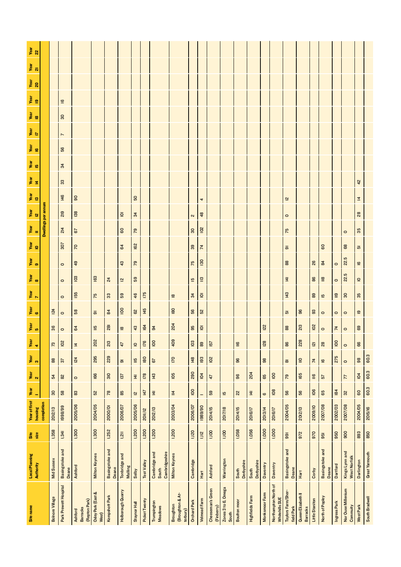| $\frac{1}{2}$                             |                     |                        |                          |                                             |                                      |                          |                            |                                     |                      |                                          |                                                  |                     |                     |                                 |                              |                            |                        |                |                                        |                                                 |                                       |                                  |                                  |                                  |                                       |                               |                       |
|-------------------------------------------|---------------------|------------------------|--------------------------|---------------------------------------------|--------------------------------------|--------------------------|----------------------------|-------------------------------------|----------------------|------------------------------------------|--------------------------------------------------|---------------------|---------------------|---------------------------------|------------------------------|----------------------------|------------------------|----------------|----------------------------------------|-------------------------------------------------|---------------------------------------|----------------------------------|----------------------------------|----------------------------------|---------------------------------------|-------------------------------|-----------------------|
| $\frac{1}{2}$                             |                     |                        |                          |                                             |                                      |                          |                            |                                     |                      |                                          |                                                  |                     |                     |                                 |                              |                            |                        |                |                                        |                                                 |                                       |                                  |                                  |                                  |                                       |                               |                       |
| Year<br>20                                |                     |                        |                          |                                             |                                      |                          |                            |                                     |                      |                                          |                                                  |                     |                     |                                 |                              |                            |                        |                |                                        |                                                 |                                       |                                  |                                  |                                  |                                       |                               |                       |
| Year<br>19                                |                     |                        | $\underline{\mathbf{c}}$ |                                             |                                      |                          |                            |                                     |                      |                                          |                                                  |                     |                     |                                 |                              |                            |                        |                |                                        |                                                 |                                       |                                  |                                  |                                  |                                       |                               |                       |
| $\frac{1}{16}$                            |                     |                        | 30                       |                                             |                                      |                          |                            |                                     |                      |                                          |                                                  |                     |                     |                                 |                              |                            |                        |                |                                        |                                                 |                                       |                                  |                                  |                                  |                                       |                               |                       |
| $\frac{1}{\sqrt{2}}$                      |                     |                        |                          |                                             |                                      |                          |                            |                                     |                      |                                          |                                                  |                     |                     |                                 |                              |                            |                        |                |                                        |                                                 |                                       |                                  |                                  |                                  |                                       |                               |                       |
| Year<br>IG                                |                     |                        | $\overline{ }$<br>56     |                                             |                                      |                          |                            |                                     |                      |                                          |                                                  |                     |                     |                                 |                              |                            |                        |                |                                        |                                                 |                                       |                                  |                                  |                                  |                                       |                               |                       |
| Year<br>15                                |                     |                        | 34                       |                                             |                                      |                          |                            |                                     |                      |                                          |                                                  |                     |                     |                                 |                              |                            |                        |                |                                        |                                                 |                                       |                                  |                                  |                                  |                                       |                               |                       |
| $\frac{1}{4}$                             |                     |                        | 33                       |                                             |                                      |                          |                            |                                     |                      |                                          |                                                  |                     |                     |                                 |                              |                            |                        |                |                                        |                                                 |                                       |                                  |                                  |                                  |                                       | 42                            |                       |
| year<br>13                                |                     |                        | 146                      | $\tt S$                                     |                                      |                          |                            | 50                                  |                      |                                          |                                                  |                     |                     |                                 |                              |                            |                        |                |                                        | $\overline{\mathbf{c}}$                         |                                       |                                  |                                  |                                  |                                       | $\overline{4}$                |                       |
|                                           |                     |                        | 219                      | 138                                         |                                      |                          | $\overline{9}$             | 34                                  |                      |                                          |                                                  | $\boldsymbol{\sim}$ | 4<br>48             |                                 |                              |                            |                        |                |                                        | $\circ$                                         |                                       |                                  |                                  |                                  |                                       | $28$                          |                       |
| Year Year<br>II I2                        | Dwellings per annum |                        | 214                      | 67                                          |                                      |                          | $\mathsf{S}$               | $\mathcal{R}$                       |                      |                                          |                                                  | $30\,$              | ≌                   |                                 |                              |                            |                        |                |                                        | 75                                              |                                       |                                  |                                  |                                  |                                       | 35                            |                       |
| Year<br>IO                                |                     |                        | 307                      | $\overline{z}$                              |                                      |                          | 64                         | 162                                 |                      |                                          |                                                  | 39                  | $\boldsymbol{\mu}$  |                                 |                              |                            |                        |                |                                        | $\overline{\varpi}$                             |                                       |                                  | 60                               |                                  | $\circ$<br>89                         | $\overline{\omega}$           |                       |
| $\frac{1}{2}$                             |                     |                        |                          | 49                                          |                                      |                          | 43                         | 79                                  |                      |                                          |                                                  | 75                  | $\overline{130}$    |                                 |                              |                            |                        |                |                                        | 88                                              |                                       | 26                               | $\overline{a}$                   | $\circ$                          | 22.5                                  | $\underline{\mathtt{o}}$      |                       |
| Year<br>8                                 |                     |                        | $\circ$                  | $\overline{a}$                              | 163                                  | $\overline{a}$           | $\overline{\mathbf{z}}$    | 59                                  |                      |                                          |                                                  | $\overline{5}$      | $\cong$             |                                 |                              |                            |                        |                |                                        | $\overline{4}$                                  |                                       | $\mathbf{g}$                     | $\ensuremath{\mathop{\boxplus}}$ | $\circ$                          | 22.5                                  | $\mathsf{e}$                  |                       |
| $\frac{1}{\sqrt{2}}$                      |                     |                        | $\circ$                  | 155                                         | 75                                   | 33                       | 59                         | 46                                  | 175                  |                                          |                                                  | 34                  | $\overline{a}$      |                                 |                              |                            |                        |                |                                        | 143                                             |                                       | $_{\rm 83}$                      | $\overline{5}$                   | $\ensuremath{\mathop{\boxplus}}$ | $30\,$                                | 35                            |                       |
| $\frac{1}{6}$                             |                     | $\overline{24}$        | $\circ$                  | 58                                          |                                      | 84                       | $\overline{5}$             | $\mathbf{S}^2$                      | 145                  |                                          | $\overline{\mathbf{e}}$<br>180                   | 56                  | 52                  |                                 |                              |                            |                        |                |                                        |                                                 | $96$                                  | $_{\rm g}$                       |                                  |                                  |                                       |                               |                       |
| $\frac{1}{2}$                             |                     | $36\,$                 | $\circ$                  | 64                                          | $\overline{\sigma}$<br>$\frac{5}{1}$ | $\overline{8}$           |                            | $43$                                | 164                  | 94                                       | 204                                              | 95                  | $\overline{Q}$      |                                 |                              |                            |                        | <b>122</b>     |                                        | $\overline{\boldsymbol{\omega}}$<br>$_{\rm 88}$ | 213                                   | $\tilde{p}$                      | $\circ$                          | $\circ$                          | $\circ$                               | $\overline{\mathbf{e}}$<br>69 |                       |
|                                           |                     | 73                     | $\circ$<br>102           |                                             | 202                                  | 213                      | $\overline{a}$             |                                     | 176                  | $\overline{a}$                           | 409                                              | 103                 | 89                  | 157                             |                              | $\equiv$                   |                        | <b>128</b>     |                                        | 86                                              | 228                                   |                                  | $\circ$<br>28                    | $\overline{7}$<br>$\overline{6}$ | $\circ$                               | 66                            |                       |
| Year<br>$\blacktriangledown$<br>Year<br>3 |                     | $_{\rm 88}$            |                          | $\overline{\mathbf{z}}$<br><b>124</b>       | 295                                  | 229                      | 47                         | $\overline{\mathsf{C}}$<br>$\equiv$ | 180                  | 67                                       | $\overline{170}$                                 | 148                 | 193                 | 102                             |                              | 96                         |                        | $98$           |                                        |                                                 | $\subseteq$                           | $\overline{2}$<br>$\overline{7}$ |                                  | 275                              | $\circ$                               | $_{\rm 98}$                   | 60.3                  |
| Year<br>2                                 |                     |                        | 57<br>82                 |                                             | 166                                  | 310                      | $\overline{\sigma}$<br>137 | 호                                   | 178                  | 143                                      | 105                                              | 290                 | 104                 | 47                              |                              | $96$                       | 204                    | 65             | $\overline{5}$                         | $\overline{\infty}$<br>54                       | 165                                   | $\cong$                          | $\overline{6}$                   |                                  | $\circ$<br>$\overline{7}$             | 104                           | 60.3                  |
|                                           |                     | 54<br>$30\,$           | 58                       | $\circ$                                     |                                      | $78$                     |                            |                                     | 147                  |                                          |                                                  | $\overline{6}$      |                     |                                 |                              |                            |                        |                | $\overline{0}$                         |                                                 | 56                                    | <b>901</b>                       | 57                               | 184                              | 32                                    | 60                            | 60.3                  |
| Year of first Year<br>÷                   |                     |                        |                          | 83                                          | 52                                   |                          | 85                         | $\overline{\mathbf{z}}$             |                      | $\overline{4}$                           | $\overline{4}$                                   |                     |                     | 59                              | 15                           | $\overline{2}$             | $\overline{4}$         | $\pmb{\omega}$ |                                        | 56                                              |                                       |                                  | 65                               |                                  |                                       |                               |                       |
| housing                                   | completion          | 2012/13                | 1998/99                  | 2005/06                                     | 2004/05                              | 2000/01                  | 2006/07                    | 2005/06                             | <b>2011/12</b>       | 2012/13                                  | 2003/04                                          | 2006/07             | 1989/90             | 2014/15                         | 2017/18                      | 2014/15                    | <b>2016/17</b>         | 2013/14        | <b>2016/17</b>                         | 2004/05                                         | 2012/13                               | 2009/10                          | 2007/08                          | 2002/03                          | 2007/08                               | 2004/05                       | 2015/16               |
| Site<br>size                              |                     | 1,358                  | 1,341                    | 1,300                                       | 1,300                                | 1,252                    | 1,211                      | 1,200                               | 1,200                | 1,200                                    | 1,200                                            | 1,120               | 1,112               | 1,100                           | 1,100                        | 1,058                      | 1,056                  | 1,000          | 1,000                                  | $\overline{9}$                                  | 972                                   | 970                              | 951                              | 950                              | 900                                   | 893                           | 850                   |
| Local Planning<br><b>Authority</b>        |                     | <b>Mid Sussex</b>      | Basingstoke and<br>Deane | Ashford                                     | <b>Milton Keynes</b>                 | Basingstoke and<br>Deane | Tonbridge and<br>Malling   | Selby                               | <b>Test Valley</b>   | Cambridge and<br>Cambridgeshire<br>South | <b>Milton Keynes</b>                             | Cambridge           | Hart                | Ashford                         | Warrington                   | <b>Derbyshire</b><br>South | Derbyshire<br>South    | Daventry       | Daventry                               | Basingstoke and<br>Deane                        | Hart                                  | Corby                            | <b>Basingstoke and</b><br>Deane  | Dartford                         | Kings Lynn and<br><b>West Norfolk</b> | <b>Darlington</b>             | <b>Great Yarmouth</b> |
| Site name                                 |                     | <b>Bolnore Village</b> | Park Prewett Hospital    | (Repton Park)<br><b>Barracks</b><br>Ashford | Oxley Park (East &<br>West)          | Kempshott Park           | <b>Holborough Quarry</b>   | Staynor Hall                        | <b>Picket Twenty</b> | Trumpington<br><b>Meadows</b>            | (Broughton & At-<br><b>Broughton</b><br>terbury) | Orchard Park        | <b>Velmead Farm</b> | Cheeseman's Green<br>(Finberry) | Zones 3 to 6, Omega<br>South | <b>Boulton moor</b>        | <b>Highfields Farm</b> | Monksmoor Farm | Northampton North of<br>Whitehills SUE | Taylors Farm/Sher-<br>field Park                | Queen Elizabeth II<br><b>Barracks</b> | Little Staniton                  | North of Popley                  | Ingress Park                     | Nar Ouse Millenium<br>Commuity        | <b>West Park</b>              | South Bradwell        |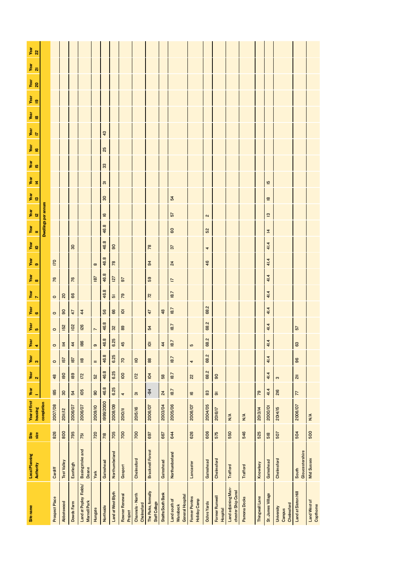| Site name                                     | <b>Local Planning</b><br><b>Authority</b> | Site<br>size | <b>Year of first</b><br>housing | Year                      | Year<br>$\mathbf{\tilde{N}}$ | year<br>3             | $\frac{1}{4}$           | Year<br>5      | Year<br>G                 | $\frac{Var}{7}$ | year<br>8      | year<br>9       | Year<br>IO      | $\frac{1}{\sqrt{2}}$   | Year<br>12 | year<br>13                                      | Year<br>14 | yar<br>เอ | Year<br>$\frac{1}{7}$<br>yar<br>16 | $\frac{1}{16}$ | year<br>19 | Year<br>20 | Year<br>21 | $\frac{1}{2}$ |
|-----------------------------------------------|-------------------------------------------|--------------|---------------------------------|---------------------------|------------------------------|-----------------------|-------------------------|----------------|---------------------------|-----------------|----------------|-----------------|-----------------|------------------------|------------|-------------------------------------------------|------------|-----------|------------------------------------|----------------|------------|------------|------------|---------------|
|                                               |                                           |              | completion                      |                           |                              |                       |                         |                |                           |                 |                |                 |                 | Dwellings per annum    |            |                                                 |            |           |                                    |                |            |            |            |               |
| Prospect Place                                | Cardiff                                   | 826          | 2007/08                         | 85                        | 48                           | $\circ$               | $\circ$                 | $\circ$        | $\circ$                   | $\circ$         | 76             | <b>I70</b>      |                 |                        |            |                                                 |            |           |                                    |                |            |            |            |               |
| Abbotswood                                    | <b>Test Valley</b>                        | 800          | 2011/12                         | $30$                      | $\overline{190}$             | 157                   | $\overline{4}$          | 152            | $\tt S$                   | $\overline{20}$ |                |                 |                 |                        |            |                                                 |            |           |                                    |                |            |            |            |               |
| Dowds Farm                                    | Eastleigh                                 | 795          | 2006/07                         | 54                        | 189                          | 187                   | $\overline{\mathbf{r}}$ | $\overline{0}$ | 47                        | 66              | $\overline{r}$ |                 | $\overline{30}$ |                        |            |                                                 |            |           |                                    |                |            |            |            |               |
| Land at Popley Fields/<br>Mamell Park         | Basingstoke and<br>Deane                  | 751          | 2006/07                         | 105                       | 172                          | $\stackrel{\circ}{=}$ | 88                      | <b>126</b>     | $\overline{\overline{4}}$ |                 |                |                 |                 |                        |            |                                                 |            |           |                                    |                |            |            |            |               |
| Hungate                                       | York                                      | 720          | 2009/10                         | $\mathbf{g}$              | 52                           | $\equiv$              |                         | $\overline{ }$ |                           |                 | 187            | $\infty$        |                 |                        |            |                                                 |            |           |                                    |                |            |            |            |               |
| Northside                                     | Gateshead                                 | 718          | 1999/2000                       | 46.8                      | 46.8                         | 46.8                  | 46.8                    | 46.8           | 56                        | 46.8            | 46.8           | 46.8            | 46.8            | $\overline{6}$<br>46.8 |            | $\overline{\infty}$<br>$\overline{\mathrm{30}}$ |            | 25<br>33  | 43                                 |                |            |            |            |               |
| Land at West Blyth                            | Northumbeland                             | 705          | 2008/09                         | 6.25                      | 6.25                         | 6.25                  | 6.25                    | 32             | 66                        | $\overline{5}$  | 127            | 78              | $\overline{90}$ |                        |            |                                                 |            |           |                                    |                |            |            |            |               |
| Rowner Renewal<br>Project                     | Gosport                                   | 700          | 2010/1                          | 4                         | $\overline{6}$               | $\overline{2}$        | 45                      | $\mathbf{g}$   | $\overline{9}$            | <b>P</b>        | $\overline{5}$ |                 |                 |                        |            |                                                 |            |           |                                    |                |            |            |            |               |
| Channels - North<br>Chelmsford                | Chelmsford                                | 700          | 2015/16                         | $\overline{\mathfrak{S}}$ | 172                          | $\cong$               |                         |                |                           |                 |                |                 |                 |                        |            |                                                 |            |           |                                    |                |            |            |            |               |
| The Parks, formally<br>Staff College          | <b>Bracknell Forest</b>                   | 697          | 2006/07                         | $\dot{q}$                 | 104                          | 88                    | $\overline{9}$          | 54             | 47                        | $\tilde{z}$     | 69             | $\overline{a}$  | 78              |                        |            |                                                 |            |           |                                    |                |            |            |            |               |
| Staiths South Bank                            | Gateshead                                 | 667          | 2003/04                         | 24                        | 58                           |                       | $\frac{4}{4}$           |                | 48                        |                 |                |                 |                 |                        |            |                                                 |            |           |                                    |                |            |            |            |               |
| General Hospital<br>Land south of<br>Wansbeck | Northumberland                            | 644          | 2005/06                         | 18.7                      | 18.7                         | 18.7                  | 18.7                    | 18.7           | 18.7                      | 18.7            | $\overline{a}$ | $\overline{24}$ | 57              | 57<br>8                |            | 54                                              |            |           |                                    |                |            |            |            |               |
| <b>Former Pontins</b><br>Holiday Camp         | Lancaster                                 | 626          | 2006/07                         | $\overline{6}$            | $\overline{2}$               | 4                     |                         |                |                           |                 |                |                 |                 |                        |            |                                                 |            |           |                                    |                |            |            |            |               |
| <b>Ochre Yards</b>                            | Gateshead                                 | 606          | 2004/05                         | 83                        | 68.2                         | 68.2                  | 68.2                    | 68.2           | 68.2                      |                 |                | 46              | 4               | $\sim$<br>52           |            |                                                 |            |           |                                    |                |            |            |            |               |
| Former Runwell<br>Hospital                    | Chelmsford                                | 575          | 2016/17                         | क्र                       | $\overline{9}$               |                       |                         |                |                           |                 |                |                 |                 |                        |            |                                                 |            |           |                                    |                |            |            |            |               |
| Land adjoining Man-<br>chester Ship Canal     | <b>Trafford</b>                           | 550          | $\frac{4}{2}$                   |                           |                              |                       |                         |                |                           |                 |                |                 |                 |                        |            |                                                 |            |           |                                    |                |            |            |            |               |
| Pamona Docks                                  | <b>Trafford</b>                           | 546          | N/A                             |                           |                              |                       |                         |                |                           |                 |                |                 |                 |                        |            |                                                 |            |           |                                    |                |            |            |            |               |
| <b>Thingwall Lane</b>                         | Knowlsey                                  | 525          | 2013/14                         | $\mathbb{R}^2$            |                              |                       |                         |                |                           |                 |                |                 |                 |                        |            |                                                 |            |           |                                    |                |            |            |            |               |
| St. James Village                             | Gateshead                                 | 518          | 2000/01                         | 41.4                      | 41.4                         | 41.4                  | 41.4                    | 41.4           | 41.4                      | 41.4            | 41.4           | 41.4            | 41.4            | 13<br>4                |            | $\overline{\mathbf{e}}$                         | 15         |           |                                    |                |            |            |            |               |
| Chelmsford<br>University<br>Campus            | Chelmsford                                | 507          | 2014/15                         | 216                       | $\boldsymbol{\infty}$        |                       |                         |                |                           |                 |                |                 |                 |                        |            |                                                 |            |           |                                    |                |            |            |            |               |
| Land at Siston Hill                           | Gloucestershire<br>South                  | 504          | 2006/07                         | $\overline{7}$            | $\overline{a}$               | 96                    | 63                      | 57             |                           |                 |                |                 |                 |                        |            |                                                 |            |           |                                    |                |            |            |            |               |
| Land West of<br>Copthorne                     | <b>Mid Sussex</b>                         | 500          | N/A                             |                           |                              |                       |                         |                |                           |                 |                |                 |                 |                        |            |                                                 |            |           |                                    |                |            |            |            |               |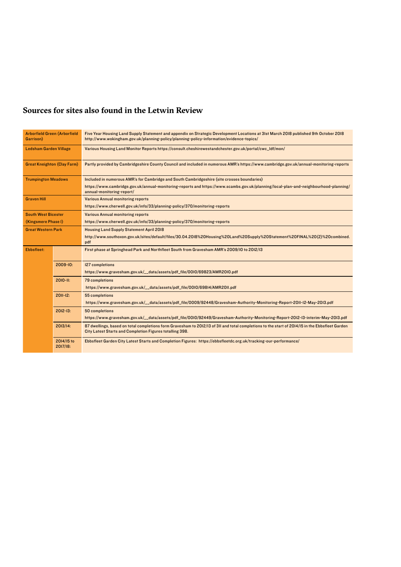#### **Sources for sites also found in the Letwin Review**

| <b>Arborfield Green (Arborfield</b><br>Garrison) |                        | Five Year Housing Land Supply Statement and appendix on Strategic Development Locations at 3Ist March 2018 published 9th October 2018<br>http://www.wokingham.gov.uk/planning-policy/planning-policy-information/evidence-topics/ |
|--------------------------------------------------|------------------------|-----------------------------------------------------------------------------------------------------------------------------------------------------------------------------------------------------------------------------------|
| <b>Ledsham Garden Village</b>                    |                        | Various Housing Land Monitor Reports https://consult.cheshirewestandchester.gov.uk/portal/cwc_ldf/mon/                                                                                                                            |
| <b>Great Kneighton (Clay Farm)</b>               |                        | Partly provided by Cambridgeshire County Council and included in numerous AMR's https://www.cambridge.gov.uk/annual-monitoring-reports                                                                                            |
| <b>Trumpington Meadows</b>                       |                        | Included in numerous AMR's for Cambridge and South Cambridgeshire (site crosses boundaries)                                                                                                                                       |
|                                                  |                        | https://www.cambridge.gov.uk/annual-monitoring-reports and https://www.scambs.gov.uk/planning/local-plan-and-neighbourhood-planning/<br>annual-monitoring-report/                                                                 |
| <b>Graven Hill</b>                               |                        | <b>Various Annual monitoring reports</b>                                                                                                                                                                                          |
|                                                  |                        | https://www.cherwell.gov.uk/info/33/planning-policy/370/monitoring-reports                                                                                                                                                        |
| <b>South West Bicester</b>                       |                        | <b>Various Annual monitoring reports</b>                                                                                                                                                                                          |
| (Kingsmere Phase I)                              |                        | https://www.cherwell.gov.uk/info/33/planning-policy/370/monitoring-reports                                                                                                                                                        |
| <b>Great Western Park</b>                        |                        | <b>Housing Land Supply Statement April 2018</b>                                                                                                                                                                                   |
|                                                  |                        | http://www.southoxon.gov.uk/sites/default/files/30.04.2018%20Housing%20Land%20Supply%20Statement%20FINAL%20(2)%20combined.<br>pdf                                                                                                 |
| <b>Ebbsfleet:</b>                                |                        | First phase at Springhead Park and Northfleet South from Gravesham AMR's 2009/10 to 2012/13                                                                                                                                       |
|                                                  | $2009 - 10:$           | <b>127 completions</b>                                                                                                                                                                                                            |
|                                                  |                        | https://www.gravesham.gov.uk/__data/assets/pdf_file/0010/69823/AMR2010.pdf                                                                                                                                                        |
| $2010 - 11:$                                     |                        | <b>79 completions</b>                                                                                                                                                                                                             |
|                                                  |                        | https://www.gravesham.gov.uk/__data/assets/pdf_file/0010/69814/AMR2011.pdf                                                                                                                                                        |
| $2011 - 12$                                      |                        | 55 completions                                                                                                                                                                                                                    |
|                                                  |                        | https://www.gravesham.gov.uk/_data/assets/pdf_file/0009/92448/Gravesham-Authority-Monitoring-Report-20II-I2-May-20I3.pdf                                                                                                          |
|                                                  | $2012 - 13:$           | 50 completions                                                                                                                                                                                                                    |
|                                                  |                        | https://www.gravesham.gov.uk/_data/assets/pdf_file/0010/92449/Gravesham-Authority-Monitoring-Report-2012-13-interim-May-2013.pdf                                                                                                  |
|                                                  | 2013/14:               | 87 dwellings, based on total completions form Gravesham to 2012/13 of 311 and total completions to the start of 2014/15 in the Ebbsfleet Garden<br>City Latest Starts and Completion Figures totalling 398.                       |
|                                                  | 2014/15 to<br>2017/18: | Ebbsfleet Garden City Latest Starts and Completion Figures: https://ebbsfleetdc.org.uk/tracking-our-performance/                                                                                                                  |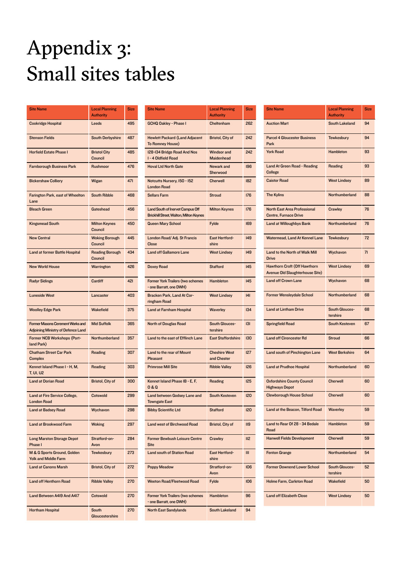# Appendix 3: Small sites tables

| <b>Site Name</b>                                                                     | <b>Local Planning</b><br><b>Authority</b> | <b>Size</b> |
|--------------------------------------------------------------------------------------|-------------------------------------------|-------------|
| <b>Cookridge Hospital</b>                                                            | Leeds                                     | 495         |
| <b>Stenson Fields</b>                                                                | <b>South Derbyshire</b>                   | 487         |
| <b>Horfield Estate Phase I</b>                                                       | <b>Bristol City</b><br><b>Council</b>     | 485         |
| <b>Farnborough Business Park</b>                                                     | <b>Rushmoor</b>                           | 476         |
| <b>Bickershaw Colliery</b>                                                           | Wigan                                     | 471         |
| Farington Park, east of Wheelton<br>Lane                                             | <b>South Ribble</b>                       | 468         |
| <b>Bleach Green</b>                                                                  | Gateshead                                 | 456         |
| <b>Kingsmead South</b>                                                               | <b>Milton Keynes</b><br><b>Council</b>    | 450         |
| <b>New Central</b>                                                                   | <b>Woking Borough</b><br>Council          | 445         |
| Land at former Battle Hospital                                                       | <b>Reading Borough</b><br>Council         | 434         |
| <b>New World House</b>                                                               | <b>Warrington</b>                         | 426         |
| <b>Radyr Sidings</b>                                                                 | Cardiff                                   | 421         |
| <b>Luneside West</b>                                                                 | Lancaster                                 | 403         |
| <b>Woolley Edge Park</b>                                                             | <b>Wakefield</b>                          | 375         |
| <b>Former Masons Cerement Works and</b><br><b>Adjoining Ministry of Defence Land</b> | <b>Mid Suffolk</b>                        | 365         |
| Former NCB Workshops (Port-<br>land Park)                                            | Northumberland                            | 357         |
| <b>Chatham Street Car Park</b><br><b>Complex</b>                                     | Reading                                   | 307         |
| Kennet Island Phase I - H, M,<br>T, UI, U2                                           | Reading                                   | 303         |
| <b>Land at Dorian Road</b>                                                           | <b>Bristol, City of</b>                   | 300         |
| Land at Fire Service College,<br><b>London Road</b>                                  | <b>Cotswold</b>                           | 299         |
| <b>Land at Badsey Road</b>                                                           | Wychavon                                  | 298         |
| <b>Land at Brookwood Farm</b>                                                        | <b>Woking</b>                             | 297         |
| <b>Long Marston Storage Depot</b><br>Phase I                                         | Stratford-on-<br>Avon                     | 284         |
| M & G Sports Ground, Golden<br><b>Yolk and Middle Farm</b>                           | <b>Tewkesbury</b>                         | 273         |
| <b>Land at Canons Marsh</b>                                                          | <b>Bristol, City of</b>                   | 272         |
| <b>Land off Henthorn Road</b>                                                        | <b>Ribble Valley</b>                      | 270         |
| Land Between A419 And A417                                                           | <b>Cotswold</b>                           | 270         |
| <b>Hortham Hospital</b>                                                              | South<br>Gloucestershire                  | 270         |

| <b>Site Name</b>                                                                   | <b>Local Planning</b><br><b>Authority</b> | <b>Size</b> |
|------------------------------------------------------------------------------------|-------------------------------------------|-------------|
| <b>GCHQ Oakley - Phase I</b>                                                       | Cheltenham                                | 262         |
| <b>Hewlett Packard (Land Adjacent</b><br>To Romney House)                          | <b>Bristol, City of</b>                   | 242         |
| 128-134 Bridge Road And Nos<br>I - 4 Oldfield Road                                 | <b>Windsor and</b><br><b>Maidenhead</b>   | 242         |
| <b>Hoval Ltd North Gate</b>                                                        | Newark and<br>Sherwood                    | 196         |
| Notcutts Nursery, 150 - 152<br><b>London Road</b>                                  | Cherwell                                  | 182         |
| <b>Sellars Farm</b>                                                                | <b>Stroud</b>                             | 176         |
| Land South of Inervet Campus Off<br><b>Brickhill Street, Walton, Milton Keynes</b> | <b>Milton Keynes</b>                      | 176         |
| <b>Queen Mary School</b>                                                           | <b>Fylde</b>                              | 169         |
| London Road/ Adj. St Francis<br>Close                                              | <b>East Hertford-</b><br>shire            | 149         |
| <b>Land off Gallamore Lane</b>                                                     | <b>West Lindsey</b>                       | 149         |
| <b>Doxey Road</b>                                                                  | <b>Stafford</b>                           | 145         |
| <b>Former York Trailers (two schemes</b><br>- one Barratt, one DWH)                | <b>Hambleton</b>                          | 145         |
| Bracken Park, Land At Cor-<br>ringham Road                                         | <b>West Lindsey</b>                       | 4           |
| <b>Land at Farnham Hospital</b>                                                    | <b>Waverley</b>                           | 134         |
| <b>North of Douglas Road</b>                                                       | South Glouces-<br>tershire                | 3           |
| Land to the east of Efflinch Lane                                                  | <b>East Staffordshire</b>                 | 130         |
| Land to the rear of Mount<br>Pleasant                                              | <b>Cheshire West</b><br>and Chester       | 127         |
| <b>Primrose Mill Site</b>                                                          | <b>Ribble Valley</b>                      | 126         |
| Kennet Island Phase IB - E, F,<br><b>0&amp;Q</b>                                   | Reading                                   | 125         |
| <b>Land between Godsey Lane and</b><br><b>Towngate East</b>                        | <b>South Kesteven</b>                     | 120         |
| <b>Bibby Scientific Ltd</b>                                                        | <b>Stafford</b>                           | 120         |
| <b>Land west of Birchwood Road</b>                                                 | <b>Bristol, City of</b>                   | II9         |
| <b>Former Bewbush Leisure Centre</b><br><b>Site</b>                                | <b>Crawley</b>                            | II2         |
| <b>Land south of Station Road</b>                                                  | <b>East Hertford-</b><br>shire            | Ш           |
| <b>Poppy Meadow</b>                                                                | Stratford-on-<br>Avon                     | 106         |
| <b>Weeton Road/Fleetwood Road</b>                                                  | <b>Fylde</b>                              | 106         |
| <b>Former York Trailers (two schemes</b><br>- one Barratt, one DWH)                | <b>Hambleton</b>                          | 96          |
| <b>North East Sandylands</b>                                                       | <b>South Lakeland</b>                     | 94          |

| <b>Site Name</b>                                                              | <b>Local Planning</b><br><b>Authority</b> | <b>Size</b> |
|-------------------------------------------------------------------------------|-------------------------------------------|-------------|
| <b>Auction Mart</b>                                                           | South Lakeland                            | 94          |
| <b>Parcel 4 Gloucester Business</b><br>Park                                   | <b>Tewkesbury</b>                         | 94          |
| <b>York Road</b>                                                              | Hambleton                                 | 93          |
| <b>Land At Green Road - Reading</b><br>College                                | Reading                                   | 93          |
| <b>Caistor Road</b>                                                           | <b>West Lindsey</b>                       | 89          |
| <b>The Kylins</b>                                                             | <b>Northumberland</b>                     | 88          |
| <b>North East Area Professional</b>                                           | Crawley                                   | 76          |
| <b>Centre, Furnace Drive</b>                                                  |                                           |             |
| <b>Land at Willoughbys Bank</b>                                               | Northumberland                            | 76          |
| <b>Watermead, Land At Kennel Lane</b>                                         | <b>Tewkesbury</b>                         | 72          |
| Land to the North of Walk Mill<br><b>Drive</b>                                | Wychavon                                  | 71          |
| <b>Hawthorn Croft (Off Hawthorn</b><br><b>Avenue Old Slaughterhouse Site)</b> | <b>West Lindsey</b>                       | 69          |
| <b>Land off Crown Lane</b>                                                    | Wychavon                                  | 68          |
| <b>Former Wensleydale School</b>                                              | Northumberland                            | 68          |
| <b>Land at Lintham Drive</b>                                                  | South Glouces-<br>tershire                | 68          |
| <b>Springfield Road</b>                                                       | <b>South Kesteven</b>                     | 67          |
| <b>Land off Cirencester Rd</b>                                                | <b>Stroud</b>                             | 66          |
| Land south of Pinchington Lane                                                | <b>West Berkshire</b>                     | 64          |
| <b>Land at Prudhoe Hospital</b>                                               | Northumberland                            | 60          |
| <b>Oxfordshire County Council</b><br><b>Highways Depot</b>                    | <b>Cherwell</b>                           | 60          |
| <b>Clewborough House School</b>                                               | <b>Cherwell</b>                           | 60          |
| Land at the Beacon, Tilford Road                                              | Waverley                                  | 59          |
| Land to Rear Of 28 - 34 Bedale<br>Road                                        | Hambleton                                 | 59          |
| <b>Hanwell Fields Development</b>                                             | <b>Cherwell</b>                           | 59          |
| <b>Fenton Grange</b>                                                          | Northumberland                            | 54          |
| <b>Former Downend Lower School</b>                                            | South Glouces-<br>tershire                | 52          |
| Holme Farm, Carleton Road                                                     | <b>Wakefield</b>                          | 50          |
| <b>Land off Elizabeth Close</b>                                               | <b>West Lindsey</b>                       | 50          |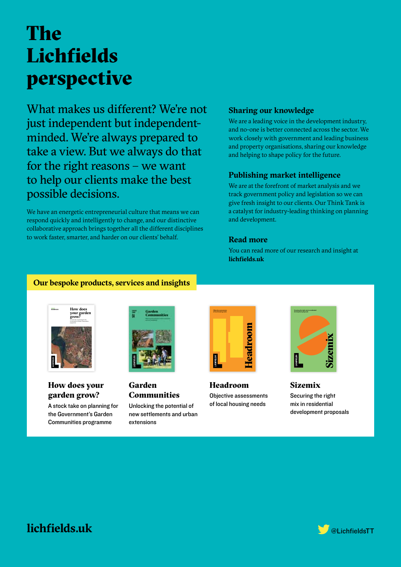# The Lichfields perspective

What makes us different? We're not just independent but independentminded. We're always prepared to take a view. But we always do that for the right reasons – we want to help our clients make the best possible decisions.

We have an energetic entrepreneurial culture that means we can respond quickly and intelligently to change, and our distinctive collaborative approach brings together all the different disciplines to work faster, smarter, and harder on our clients' behalf.

#### **Sharing our knowledge**

We are a leading voice in the development industry, and no-one is better connected across the sector. We work closely with government and leading business and property organisations, sharing our knowledge and helping to shape policy for the future.

#### **Publishing market intelligence**

We are at the forefront of market analysis and we track government policy and legislation so we can give fresh insight to our clients. Our Think Tank is a catalyst for industry-leading thinking on planning and development.

#### **Read more**

You can read more of our research and insight at **lichfields.uk** 

#### **Our bespoke products, services and insights**



#### How does your garden grow?

A stock take on planning for the Government's Garden Communities programme



Garden **Communities** 

Unlocking the potential of new settlements and urban extensions



Headroom Objective assessments of local housing needs



Sizemix Securing the right mix in residential development proposals

#### **lichfields.uk** @Lichfields.uk @LichfieldsTT